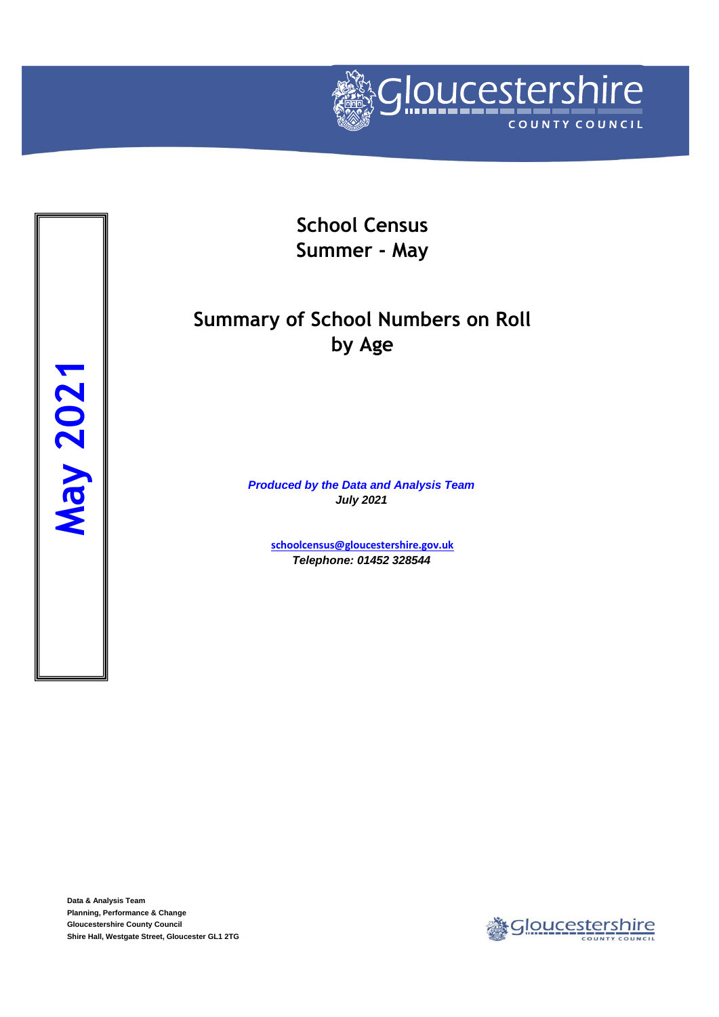

**School Census Summer - May**

# **Summary of School Numbers on Roll by Age**

*Produced by the Data and Analysis Team July 2021*

> **[schoolcensus@gloucestersh](mailto:schoolcensus@gloucestershire.gov.uk)ire.gov.uk** *Telephone: 01452 328544*

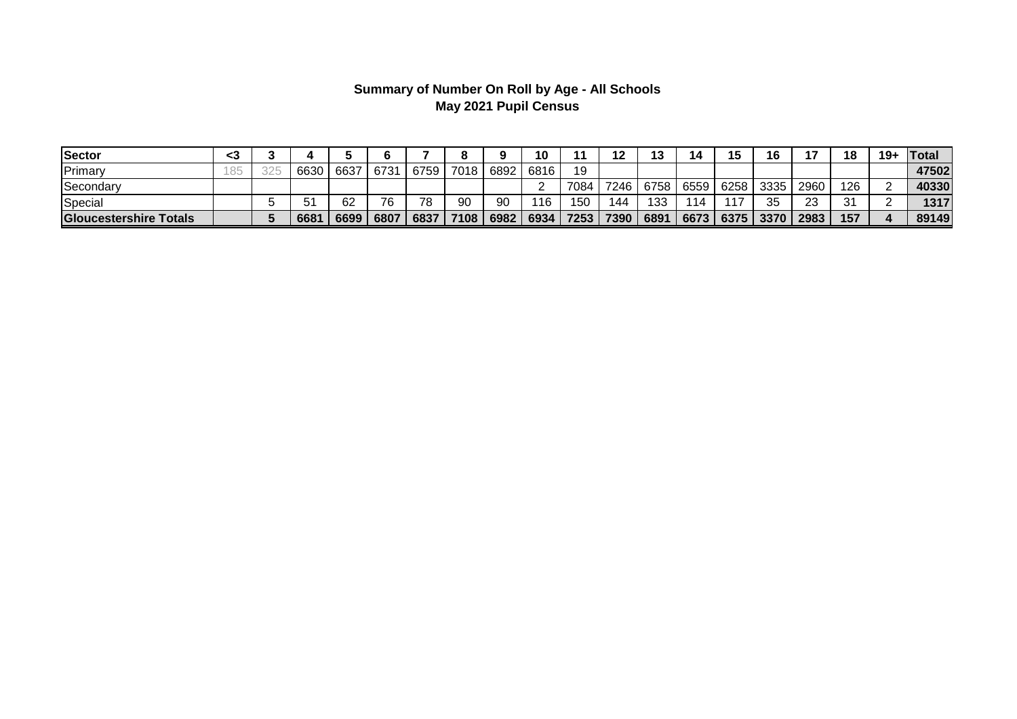## **Summary of Number On Roll by Age - All Schools May 2021 Pupil Census**

| Sector                 | <3           |           |      |      |      |      |           | 10       |      |      | 19<br>د، | 14  | 15        | 16   |      | 18  | $19+$ | <b>ITotal</b> |
|------------------------|--------------|-----------|------|------|------|------|-----------|----------|------|------|----------|-----|-----------|------|------|-----|-------|---------------|
| Primary                | 1RE<br>1 U J | 6630      | 6637 | 6731 | 6759 |      | 7018 6892 | 6816     | 19   |      |          |     |           |      |      |     |       | 47502         |
| Secondary              |              |           |      |      |      |      |           | <u>.</u> | 7084 | 7246 | 6758     |     | 6559 6258 | 3335 | 2960 | 126 |       | 40330         |
| Special                |              | EA.<br>Э. | 62   | 76   | 78   | 90   | 90        | 116      | 150  | 144  | 133      | 114 | 117       | つに   | 23   | 31  |       | 1317          |
| Gloucestershire Totals |              | 6681      | 6699 | 6807 | 6837 | 7108 | 6982      | 6934     | 7253 | 7390 | 6891     |     | 6673 6375 | 3370 | 2983 | 157 |       | 89149         |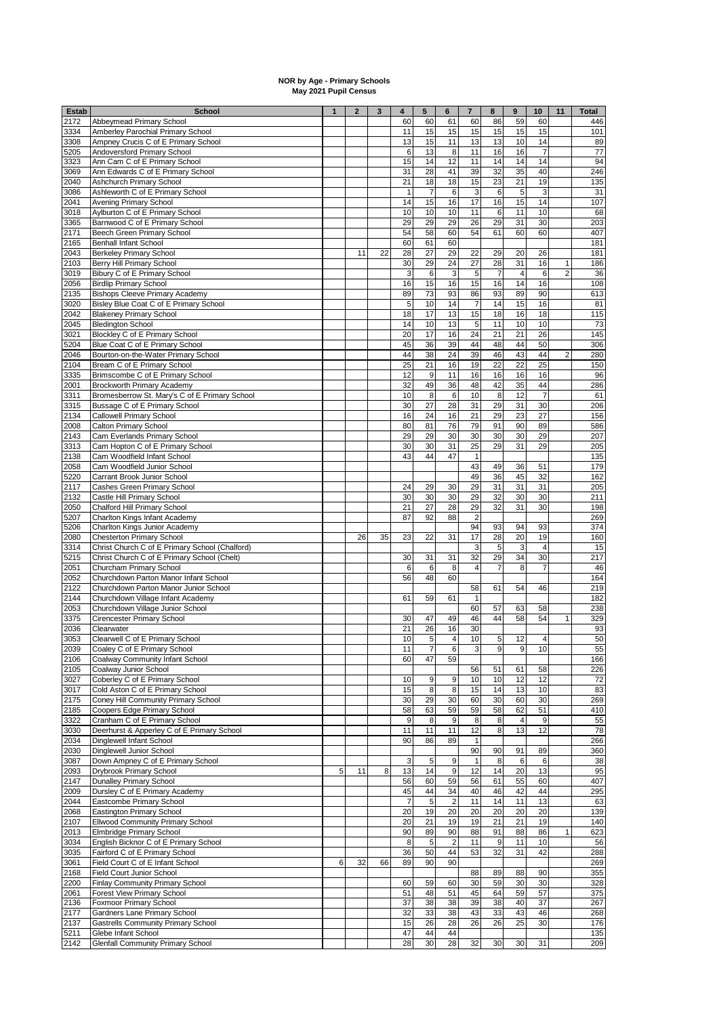#### **NOR by Age - Primary Schools May 2021 Pupil Census**

| <b>Estab</b> | <b>School</b>                                                                                 | $\mathbf{1}$ | $\mathbf{2}$ | 3  | 4              | 5                | 6                | $\overline{\mathbf{r}}$ | 8                    | $\pmb{9}$               | 10                   | 11                             | <b>Total</b> |
|--------------|-----------------------------------------------------------------------------------------------|--------------|--------------|----|----------------|------------------|------------------|-------------------------|----------------------|-------------------------|----------------------|--------------------------------|--------------|
| 2172         | Abbeymead Primary School                                                                      |              |              |    | 60             | 60               | 61               | 60                      | 86                   | 59                      | 60                   |                                | 446          |
| 3334<br>3308 | Amberley Parochial Primary School<br>Ampney Crucis C of E Primary School                      |              |              |    | 11<br>13       | 15<br>15         | 15<br>11         | 15<br>13                | 15<br>13             | 15<br>10                | 15<br>14             |                                | 101<br>89    |
| 5205         | Andoversford Primary School                                                                   |              |              |    | 6              | 13               | 8                | 11                      | 16                   | 16                      | $\overline{7}$       |                                | 77           |
| 3323         | Ann Cam C of E Primary School                                                                 |              |              |    | 15             | 14               | 12               | 11                      | 14                   | 14                      | 14                   |                                | 94           |
| 3069         | Ann Edwards C of E Primary School                                                             |              |              |    | 31             | 28               | 41               | 39                      | 32                   | 35                      | 40                   |                                | 246          |
| 2040         | Ashchurch Primary School                                                                      |              |              |    | 21             | 18               | 18               | 15                      | 23                   | 21                      | 19                   |                                | 135          |
| 3086         | Ashleworth C of E Primary School                                                              |              |              |    | $\overline{1}$ | $\overline{7}$   | 6                | 3                       | 6                    | 5                       | 3                    |                                | 31           |
| 2041<br>3018 | Avening Primary School<br>Aylburton C of E Primary School                                     |              |              |    | 14<br>10       | 15<br>10         | 16<br>10         | 17<br>11                | 16<br>6              | 15<br>11                | 14<br>10             |                                | 107<br>68    |
| 3365         | Barnwood C of E Primary School                                                                |              |              |    | 29             | 29               | 29               | 26                      | 29                   | 31                      | 30                   |                                | 203          |
| 2171         | Beech Green Primary School                                                                    |              |              |    | 54             | 58               | 60               | 54                      | 61                   | 60                      | 60                   |                                | 407          |
| 2165         | <b>Benhall Infant School</b>                                                                  |              |              |    | 60             | 61               | 60               |                         |                      |                         |                      |                                | 181          |
| 2043         | <b>Berkeley Primary School</b>                                                                |              | 11           | 22 | 28             | 27               | 29               | 22                      | 29                   | 20                      | 26                   |                                | 181          |
| 2103<br>3019 | Berry Hill Primary School                                                                     |              |              |    | 30<br>3        | 29<br>6          | 24<br>3          | 27<br>5                 | 28<br>$\overline{7}$ | 31<br>4                 | 16<br>6              | $\mathbf{1}$<br>$\overline{2}$ | 186<br>36    |
| 2056         | Bibury C of E Primary School<br><b>Birdlip Primary School</b>                                 |              |              |    | 16             | 15               | 16               | 15                      | 16                   | 14                      | 16                   |                                | 108          |
| 2135         | <b>Bishops Cleeve Primary Academy</b>                                                         |              |              |    | 89             | 73               | 93               | 86                      | 93                   | 89                      | 90                   |                                | 613          |
| 3020         | Bisley Blue Coat C of E Primary School                                                        |              |              |    | 5              | 10               | 14               | $\overline{7}$          | 14                   | 15                      | 16                   |                                | 81           |
| 2042         | <b>Blakeney Primary School</b>                                                                |              |              |    | 18             | 17               | 13               | 15                      | 18                   | 16                      | 18                   |                                | 115          |
| 2045         | <b>Bledington School</b>                                                                      |              |              |    | 14             | 10               | 13               | 5                       | 11                   | 10                      | 10                   |                                | 73           |
| 3021<br>5204 | Blockley C of E Primary School<br>Blue Coat C of E Primary School                             |              |              |    | 20<br>45       | 17<br>36         | 16<br>39         | 24<br>44                | 21<br>48             | 21<br>44                | 26<br>50             |                                | 145<br>306   |
| 2046         | Bourton-on-the-Water Primary School                                                           |              |              |    | 44             | 38               | 24               | 39                      | 46                   | 43                      | 44                   | $\overline{2}$                 | 280          |
| 2104         | Bream C of E Primary School                                                                   |              |              |    | 25             | 21               | 16               | 19                      | $\overline{22}$      | $\overline{22}$         | 25                   |                                | 150          |
| 3335         | Brimscombe C of E Primary School                                                              |              |              |    | 12             | $\boldsymbol{9}$ | 11               | 16                      | 16                   | 16                      | 16                   |                                | 96           |
| 2001         | <b>Brockworth Primary Academy</b>                                                             |              |              |    | 32             | 49               | 36               | 48                      | 42                   | 35                      | 44                   |                                | 286          |
| 3311         | Bromesberrow St. Mary's C of E Primary School                                                 |              |              |    | 10             | 8                | 6                | 10                      | 8                    | 12                      | $\overline{7}$       |                                | 61           |
| 3315<br>2134 | Bussage C of E Primary School<br><b>Callowell Primary School</b>                              |              |              |    | 30<br>16       | 27<br>24         | 28<br>16         | 31<br>21                | 29<br>29             | 31<br>23                | 30<br>27             |                                | 206<br>156   |
| 2008         | Calton Primary School                                                                         |              |              |    | 80             | 81               | 76               | 79                      | 91                   | 90                      | 89                   |                                | 586          |
| 2143         | Cam Everlands Primary School                                                                  |              |              |    | 29             | 29               | 30               | 30                      | 30                   | 30                      | 29                   |                                | 207          |
| 3313         | Cam Hopton C of E Primary School                                                              |              |              |    | 30             | 30               | 31               | 25                      | 29                   | 31                      | 29                   |                                | 205          |
| 2138         | Cam Woodfield Infant School                                                                   |              |              |    | 43             | 44               | 47               | $\mathbf{1}$            |                      |                         |                      |                                | 135          |
| 2058         | Cam Woodfield Junior School                                                                   |              |              |    |                |                  |                  | 43                      | 49                   | 36                      | 51                   |                                | 179          |
| 5220<br>2117 | Carrant Brook Junior School<br>Cashes Green Primary School                                    |              |              |    | 24             | 29               | 30               | 49<br>29                | 36<br>31             | 45<br>31                | 32<br>31             |                                | 162<br>205   |
| 2132         | Castle Hill Primary School                                                                    |              |              |    | 30             | 30               | 30               | 29                      | 32                   | 30                      | 30                   |                                | 211          |
| 2050         | Chalford Hill Primary School                                                                  |              |              |    | 21             | 27               | 28               | 29                      | 32                   | 31                      | 30                   |                                | 198          |
| 5207         | Charlton Kings Infant Academy                                                                 |              |              |    | 87             | 92               | 88               | $\overline{\mathbf{c}}$ |                      |                         |                      |                                | 269          |
| 5206         | Charlton Kings Junior Academy                                                                 |              |              |    |                |                  |                  | 94                      | 93                   | 94                      | 93                   |                                | 374          |
| 2080         | <b>Chesterton Primary School</b>                                                              |              | 26           | 35 | 23             | 22               | 31               | 17                      | 28                   | 20                      | 19                   |                                | 160          |
| 3314<br>5215 | Christ Church C of E Primary School (Chalford)<br>Christ Church C of E Primary School (Chelt) |              |              |    | 30             | 31               | 31               | 3<br>32                 | 5<br>29              | 3<br>34                 | $\overline{4}$<br>30 |                                | 15<br>217    |
| 2051         | Churcham Primary School                                                                       |              |              |    | 6              | 6                | 8                | $\overline{4}$          | $\overline{7}$       | 8                       | $\overline{7}$       |                                | 46           |
| 2052         | Churchdown Parton Manor Infant School                                                         |              |              |    | 56             | 48               | 60               |                         |                      |                         |                      |                                | 164          |
| 2122         | Churchdown Parton Manor Junior School                                                         |              |              |    |                |                  |                  | 58                      | 61                   | 54                      | 46                   |                                | 219          |
| 2144         | Churchdown Village Infant Academy                                                             |              |              |    | 61             | 59               | 61               | $\mathbf{1}$            |                      |                         |                      |                                | 182          |
| 2053<br>3375 | Churchdown Village Junior School<br><b>Cirencester Primary School</b>                         |              |              |    | 30             | 47               | 49               | 60<br>46                | 57<br>44             | 63<br>58                | 58<br>54             | $\mathbf{1}$                   | 238<br>329   |
| 2036         | Clearwater                                                                                    |              |              |    | 21             | 26               | 16               | 30                      |                      |                         |                      |                                | 93           |
| 3053         | Clearwell C of E Primary School                                                               |              |              |    | 10             | 5                | 4                | 10                      | 5                    | 12                      | $\overline{4}$       |                                | 50           |
| 2039         | Coaley C of E Primary School                                                                  |              |              |    | 11             |                  | 6                | 3                       | 9                    | 9                       | 10                   |                                | 55           |
| 2106         | Coalway Community Infant School                                                               |              |              |    | 60             | 47               | 59               |                         |                      |                         |                      |                                | 166          |
| 2105         | Coalway Junior School                                                                         |              |              |    |                |                  |                  | 56                      | 51                   | 61                      | 58                   |                                | 226          |
| 3027<br>3017 | Coberley C of E Primary School<br>Cold Aston C of E Primary School                            |              |              |    | 10<br>15       | 9<br>8           | 9<br>8           | 10<br>15                | 10<br>14             | 12<br>13                | 12<br>10             |                                | 72<br>83     |
| 2175         | Coney Hill Community Primary School                                                           |              |              |    | 30             | 29               | 30               | 60                      | 30                   | 60                      | 30                   |                                | 269          |
| 2185         | Coopers Edge Primary School                                                                   |              |              |    | 58             | 63               | 59               | 59                      | 58                   | 62                      | 51                   |                                | 410          |
| 3322         | Cranham C of E Primary School                                                                 |              |              |    | 9              | 8                | 9                | 8                       | 8                    | $\overline{\mathbf{4}}$ | $9$                  |                                | 55           |
| 3030         | Deerhurst & Apperley C of E Primary School                                                    |              |              |    | 11             | 11               | 11               | 12                      | 8                    | 13                      | 12                   |                                | 78           |
| 2034<br>2030 | Dinglewell Infant School<br>Dinglewell Junior School                                          |              |              |    | 90             | 86               | 89               | $\mathbf{1}$<br>90      | 90                   | 91                      | 89                   |                                | 266<br>360   |
| 3087         | Down Ampney C of E Primary School                                                             |              |              |    | 3              | 5                | 9                | $\mathbf{1}$            | 8                    | $\,6$                   | 6                    |                                | 38           |
| 2093         | Drybrook Primary School                                                                       | 5            | 11           | 8  | 13             | 14               | $\boldsymbol{9}$ | 12                      | 14                   | 20                      | 13                   |                                | 95           |
| 2147         | <b>Dunalley Primary School</b>                                                                |              |              |    | 56             | 60               | 59               | 56                      | 61                   | 55                      | 60                   |                                | 407          |
| 2009         | Dursley C of E Primary Academy                                                                |              |              |    | 45             | 44               | 34               | 40                      | 46                   | 42                      | 44                   |                                | 295          |
| 2044         | Eastcombe Primary School                                                                      |              |              |    | 7              | 5                | $\overline{2}$   | 11                      | 14                   | 11                      | 13                   |                                | 63           |
| 2068<br>2107 | <b>Eastington Primary School</b><br><b>Ellwood Community Primary School</b>                   |              |              |    | 20<br>20       | 19<br>21         | 20<br>19         | 20<br>19                | 20<br>21             | 20<br>21                | 20<br>19             |                                | 139<br>140   |
| 2013         | Elmbridge Primary School                                                                      |              |              |    | 90             | 89               | 90               | 88                      | 91                   | 88                      | 86                   | 1                              | 623          |
| 3034         | English Bicknor C of E Primary School                                                         |              |              |    | 8              | 5                | $\overline{2}$   | 11                      | 9                    | 11                      | 10                   |                                | 56           |
| 3035         | Fairford C of E Primary School                                                                |              |              |    | 36             | 50               | 44               | 53                      | 32                   | 31                      | 42                   |                                | 288          |
| 3061         | Field Court C of E Infant School                                                              | 6            | 32           | 66 | 89             | 90               | 90               |                         |                      |                         |                      |                                | 269          |
| 2168         | Field Court Junior School                                                                     |              |              |    |                |                  |                  | 88                      | 89                   | 88                      | 90                   |                                | 355          |
| 2200         | <b>Finlay Community Primary School</b>                                                        |              |              |    | 60             | 59               | 60               | 30                      | 59<br>64             | 30                      | 30                   |                                | 328          |
| 2061<br>2136 | Forest View Primary School<br>Foxmoor Primary School                                          |              |              |    | 51<br>37       | 48<br>38         | 51<br>38         | 45<br>39                | 38                   | 59<br>40                | 57<br>37             |                                | 375<br>267   |
| 2177         | Gardners Lane Primary School                                                                  |              |              |    | 32             | 33               | 38               | 43                      | 33                   | 43                      | 46                   |                                | 268          |
| 2137         | <b>Gastrells Community Primary School</b>                                                     |              |              |    | 15             | 26               | 28               | 26                      | 26                   | 25                      | 30                   |                                | 176          |
| 5211         | Glebe Infant School                                                                           |              |              |    | 47             | 44               | 44               |                         |                      |                         |                      |                                | 135          |
| 2142         | <b>Glenfall Community Primary School</b>                                                      |              |              |    | 28             | 30               | 28               | 32                      | 30                   | 30                      | 31                   |                                | 209          |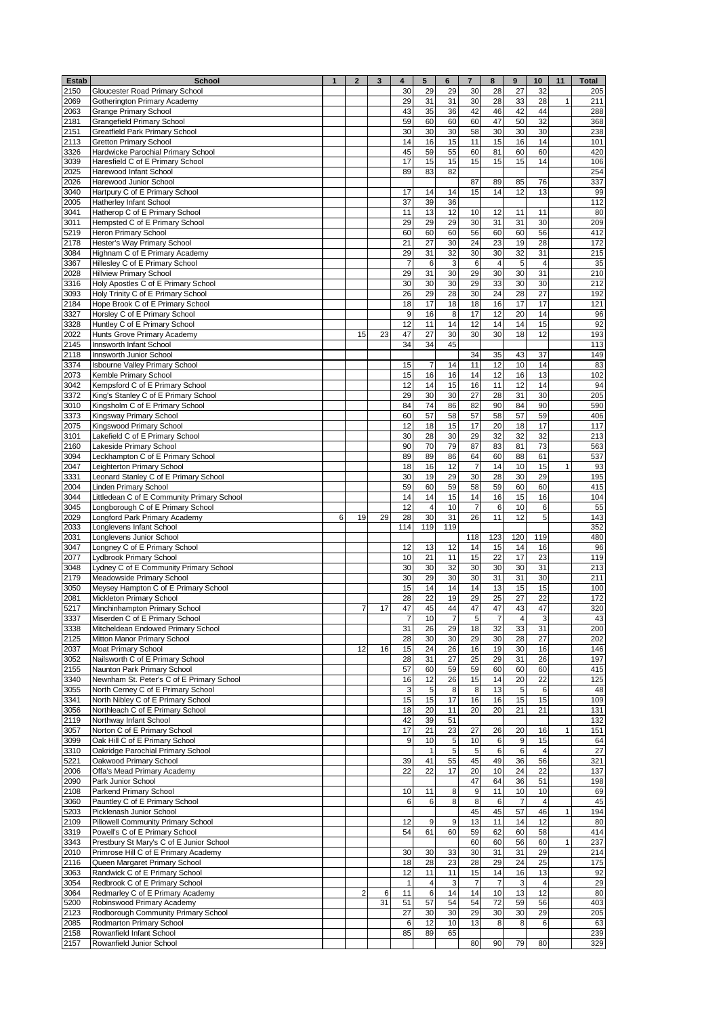| Estab        | <b>School</b>                                                          | $\mathbf{1}$ | $\mathbf{2}$   | 3  | 4              | 5              | 6        | $\overline{7}$       | 8                | $\pmb{9}$      | 10                      | 11 | <b>Total</b> |
|--------------|------------------------------------------------------------------------|--------------|----------------|----|----------------|----------------|----------|----------------------|------------------|----------------|-------------------------|----|--------------|
| 2150         | Gloucester Road Primary School                                         |              |                |    | 30             | 29             | 29       | 30                   | 28               | 27             | 32                      |    | 205          |
| 2069         | Gotherington Primary Academy                                           |              |                |    | 29             | 31             | 31       | 30                   | 28               | 33             | 28                      | 1  | 211          |
| 2063         | <b>Grange Primary School</b>                                           |              |                |    | 43             | 35             | 36       | 42                   | 46               | 42             | 44                      |    | 288          |
| 2181         | <b>Grangefield Primary School</b>                                      |              |                |    | 59             | 60             | 60       | 60                   | 47               | 50             | 32                      |    | 368          |
| 2151         | Greatfield Park Primary School                                         |              |                |    | 30             | 30             | 30       | 58                   | 30               | 30             | 30                      |    | 238          |
| 2113         | <b>Gretton Primary School</b>                                          |              |                |    | 14             | 16             | 15<br>55 | 11<br>60             | 15<br>81         | 16<br>60       | 14<br>60                |    | 101<br>420   |
| 3326<br>3039 | Hardwicke Parochial Primary School<br>Haresfield C of E Primary School |              |                |    | 45<br>17       | 59<br>15       | 15       | 15                   | 15               | 15             | 14                      |    | 106          |
| 2025         | Harewood Infant School                                                 |              |                |    | 89             | 83             | 82       |                      |                  |                |                         |    | 254          |
| 2026         | Harewood Junior School                                                 |              |                |    |                |                |          | 87                   | 89               | 85             | 76                      |    | 337          |
| 3040         | Hartpury C of E Primary School                                         |              |                |    | 17             | 14             | 14       | 15                   | 14               | 12             | 13                      |    | 99           |
| 2005         | Hatherley Infant School                                                |              |                |    | 37             | 39             | 36       |                      |                  |                |                         |    | 112          |
| 3041         | Hatherop C of E Primary School                                         |              |                |    | 11             | 13             | 12       | 10                   | 12               | 11             | 11                      |    | 80           |
| 3011         | Hempsted C of E Primary School                                         |              |                |    | 29             | 29             | 29       | 30                   | 31               | 31             | 30                      |    | 209          |
| 5219         | Heron Primary School                                                   |              |                |    | 60             | 60             | 60       | 56                   | 60               | 60             | 56                      |    | 412          |
| 2178         | Hester's Way Primary School                                            |              |                |    | 21             | 27             | 30       | 24                   | 23               | 19             | 28                      |    | 172          |
| 3084         | Highnam C of E Primary Academy                                         |              |                |    | 29             | 31             | 32       | 30                   | 30               | 32             | 31                      |    | 215          |
| 3367         | Hillesley C of E Primary School                                        |              |                |    | $\overline{7}$ | 6              | 3        | 6                    | $\overline{4}$   | 5              | $\overline{4}$          |    | 35           |
| 2028         | <b>Hillview Primary School</b>                                         |              |                |    | 29             | 31             | 30       | 29                   | 30               | 30             | 31                      |    | 210          |
| 3316         | Holy Apostles C of E Primary School                                    |              |                |    | 30             | 30             | 30       | 29                   | 33               | 30             | 30                      |    | 212          |
| 3093         | Holy Trinity C of E Primary School                                     |              |                |    | 26             | 29             | 28       | 30                   | 24               | 28             | 27                      |    | 192          |
| 2184         | Hope Brook C of E Primary School                                       |              |                |    | 18<br>9        | 17<br>16       | 18<br>8  | 18<br>17             | 16<br>12         | 17<br>20       | 17<br>14                |    | 121<br>96    |
| 3327<br>3328 | Horsley C of E Primary School<br>Huntley C of E Primary School         |              |                |    | 12             | 11             | 14       | 12                   | 14               | 14             | 15                      |    | 92           |
| 2022         | Hunts Grove Primary Academy                                            |              | 15             | 23 | 47             | 27             | 30       | 30                   | 30               | 18             | 12                      |    | 193          |
| 2145         | Innsworth Infant School                                                |              |                |    | 34             | 34             | 45       |                      |                  |                |                         |    | 113          |
| 2118         | Innsworth Junior School                                                |              |                |    |                |                |          | 34                   | 35               | 43             | 37                      |    | 149          |
| 3374         | <b>Isbourne Valley Primary School</b>                                  |              |                |    | 15             | $\overline{7}$ | 14       | 11                   | 12               | 10             | 14                      |    | 83           |
| 2073         | Kemble Primary School                                                  |              |                |    | 15             | 16             | 16       | 14                   | 12               | 16             | 13                      |    | 102          |
| 3042         | Kempsford C of E Primary School                                        |              |                |    | 12             | 14             | 15       | 16                   | 11               | 12             | 14                      |    | 94           |
| 3372         | King's Stanley C of E Primary School                                   |              |                |    | 29             | 30             | 30       | 27                   | 28               | 31             | 30                      |    | 205          |
| 3010         | Kingsholm C of E Primary School                                        |              |                |    | 84             | 74             | 86       | 82                   | 90               | 84             | 90                      |    | 590          |
| 3373         | Kingsway Primary School                                                |              |                |    | 60             | 57             | 58       | 57                   | 58               | 57             | 59                      |    | 406          |
| 2075         | Kingswood Primary School                                               |              |                |    | 12             | 18             | 15       | 17                   | 20               | 18             | 17                      |    | 117          |
| 3101         | Lakefield C of E Primary School                                        |              |                |    | 30             | 28             | 30       | 29                   | 32               | 32             | 32                      |    | 213          |
| 2160         | Lakeside Primary School                                                |              |                |    | 90             | 70             | 79       | 87                   | 83               | 81             | 73                      |    | 563          |
| 3094         | Leckhampton C of E Primary School                                      |              |                |    | 89             | 89             | 86       | 64                   | 60               | 88             | 61                      |    | 537          |
| 2047         | Leighterton Primary School                                             |              |                |    | 18             | 16<br>19       | 12<br>29 | $\overline{7}$<br>30 | 14               | 10             | 15<br>29                | 1  | 93           |
| 3331         | Leonard Stanley C of E Primary School                                  |              |                |    | 30             | 60             | 59       | 58                   | 28<br>59         | 30<br>60       | 60                      |    | 195          |
| 2004<br>3044 | Linden Primary School<br>Littledean C of E Community Primary School    |              |                |    | 59<br>14       | 14             | 15       | 14                   | 16               | 15             | 16                      |    | 415<br>104   |
| 3045         | Longborough C of E Primary School                                      |              |                |    | 12             | $\overline{4}$ | 10       | $\overline{7}$       | 6                | 10             | 6                       |    | 55           |
| 2029         | Longford Park Primary Academy                                          | 6            | 19             | 29 | 28             | 30             | 31       | 26                   | 11               | 12             | 5                       |    | 143          |
| 2033         | Longlevens Infant School                                               |              |                |    | 114            | 119            | 119      |                      |                  |                |                         |    | 352          |
| 2031         | Longlevens Junior School                                               |              |                |    |                |                |          | 118                  | 123              | 120            | 119                     |    | 480          |
| 3047         | Longney C of E Primary School                                          |              |                |    | 12             | 13             | 12       | 14                   | 15               | 14             | 16                      |    | 96           |
| 2077         | Lydbrook Primary School                                                |              |                |    | 10             | 21             | 11       | 15                   | 22               | 17             | 23                      |    | 119          |
| 3048         | Lydney C of E Community Primary School                                 |              |                |    | 30             | 30             | 32       | 30                   | 30               | 30             | 31                      |    | 213          |
| 2179         | Meadowside Primary School                                              |              |                |    | 30             | 29             | 30       | 30                   | 31               | 31             | 30                      |    | 211          |
| 3050         | Meysey Hampton C of E Primary School                                   |              |                |    | 15             | 14             | 14       | 14                   | 13               | 15             | 15                      |    | 100          |
| 2081         | Mickleton Primary School                                               |              |                |    | 28             | 22             | 19       | 29                   | 25               | 27             | 22                      |    | 172          |
| 5217         | Minchinhampton Primary School                                          |              | 7              | 17 | 47             | 45             | 44       | 47                   | 47               | 43             | 47                      |    | 320          |
| 3337         | Miserden C of E Primary School                                         |              |                |    | $\epsilon$     | 10             | $\prime$ | 18                   | $\epsilon$<br>32 |                |                         |    | 43           |
| 3338<br>2125 | Mitcheldean Endowed Primary School<br>Mitton Manor Primary School      |              |                |    | 31<br>28       | 26<br>30       | 29<br>30 | 29                   | 30               | 33<br>28       | 31<br>27                |    | 200<br>202   |
| 2037         | Moat Primary School                                                    |              | 12             | 16 | 15             | 24             | 26       | 16                   | 19               | 30             | 16                      |    | 146          |
| 3052         | Nailsworth C of E Primary School                                       |              |                |    | 28             | 31             | 27       | 25                   | 29               | 31             | 26                      |    | 197          |
| 2155         | Naunton Park Primary School                                            |              |                |    | 57             | 60             | 59       | 59                   | 60               | 60             | 60                      |    | 415          |
| 3340         | Newnham St. Peter's C of E Primary School                              |              |                |    | 16             | 12             | 26       | 15                   | 14               | 20             | 22                      |    | 125          |
| 3055         | North Cerney C of E Primary School                                     |              |                |    | $\mathbf{3}$   | 5              | 8        | 8                    | 13               | 5              | 6                       |    | 48           |
| 3341         | North Nibley C of E Primary School                                     |              |                |    | 15             | 15             | 17       | 16                   | 16               | 15             | 15                      |    | 109          |
| 3056         | Northleach C of E Primary School                                       |              |                |    | 18             | 20             | 11       | 20                   | 20               | 21             | 21                      |    | 131          |
| 2119         | Northway Infant School                                                 |              |                |    | 42             | 39             | 51       |                      |                  |                |                         |    | 132          |
| 3057         | Norton C of E Primary School                                           |              |                |    | 17             | 21             | 23       | 27                   | 26               | 20             | 16                      | 1  | 151          |
| 3099         | Oak Hill C of E Primary School                                         |              |                |    | 9              | 10             | 5        | 10                   | 6                | 9              | 15                      |    | 64           |
| 3310         | Oakridge Parochial Primary School                                      |              |                |    |                | $\mathbf{1}$   | 5        | 5                    | 6                | 6              | 4                       |    | 27           |
| 5221         | Oakwood Primary School                                                 |              |                |    | 39             | 41             | 55       | 45                   | 49               | 36             | 56                      |    | 321          |
| 2006         | Offa's Mead Primary Academy                                            |              |                |    | 22             | 22             | 17       | 20                   | 10               | 24             | 22                      |    | 137          |
| 2090<br>2108 | Park Junior School<br>Parkend Primary School                           |              |                |    | 10             | 11             | 8        | 47<br>$\overline{9}$ | 64<br>11         | 36<br>10       | 51<br>10                |    | 198<br>69    |
| 3060         | Pauntley C of E Primary School                                         |              |                |    | 6              | 6              | 8        | 8                    | 6                | $\overline{7}$ | 4                       |    | 45           |
| 5203         | Picklenash Junior School                                               |              |                |    |                |                |          | 45                   | 45               | 57             | 46                      | 1  | 194          |
| 2109         | Pillowell Community Primary School                                     |              |                |    | 12             | 9              | 9        | 13                   | 11               | 14             | 12                      |    | 80           |
| 3319         | Powell's C of E Primary School                                         |              |                |    | 54             | 61             | 60       | 59                   | 62               | 60             | 58                      |    | 414          |
| 3343         | Prestbury St Mary's C of E Junior School                               |              |                |    |                |                |          | 60                   | 60               | 56             | 60                      | 1  | 237          |
| 2010         | Primrose Hill C of E Primary Academy                                   |              |                |    | 30             | 30             | 33       | 30                   | 31               | 31             | 29                      |    | 214          |
| 2116         | Queen Margaret Primary School                                          |              |                |    | 18             | 28             | 23       | 28                   | 29               | 24             | 25                      |    | 175          |
| 3063         | Randwick C of E Primary School                                         |              |                |    | 12             | 11             | 11       | 15                   | 14               | 16             | 13                      |    | 92           |
| 3054         | Redbrook C of E Primary School                                         |              |                |    | $\mathbf{1}$   | 4              | 3        | $\overline{7}$       | $\overline{7}$   | $\mathsf 3$    | $\overline{\mathbf{4}}$ |    | 29           |
| 3064         | Redmarley C of E Primary Academy                                       |              | $\overline{2}$ | 6  | 11             | $\,6$          | 14       | 14                   | $10$             | 13             | 12                      |    | 80           |
| 5200         | Robinswood Primary Academy                                             |              |                | 31 | 51             | 57             | 54       | 54                   | 72               | 59             | 56                      |    | 403          |
| 2123         | Rodborough Community Primary School                                    |              |                |    | 27             | 30             | 30       | 29                   | 30               | 30             | 29                      |    | 205          |
| 2085<br>2158 | Rodmarton Primary School<br>Rowanfield Infant School                   |              |                |    | 6<br>85        | 12<br>89       | 10<br>65 | 13                   | 8                | 8              | 6                       |    | 63<br>239    |
| 2157         | Rowanfield Junior School                                               |              |                |    |                |                |          | 80                   | 90               | 79             | 80                      |    | 329          |
|              |                                                                        |              |                |    |                |                |          |                      |                  |                |                         |    |              |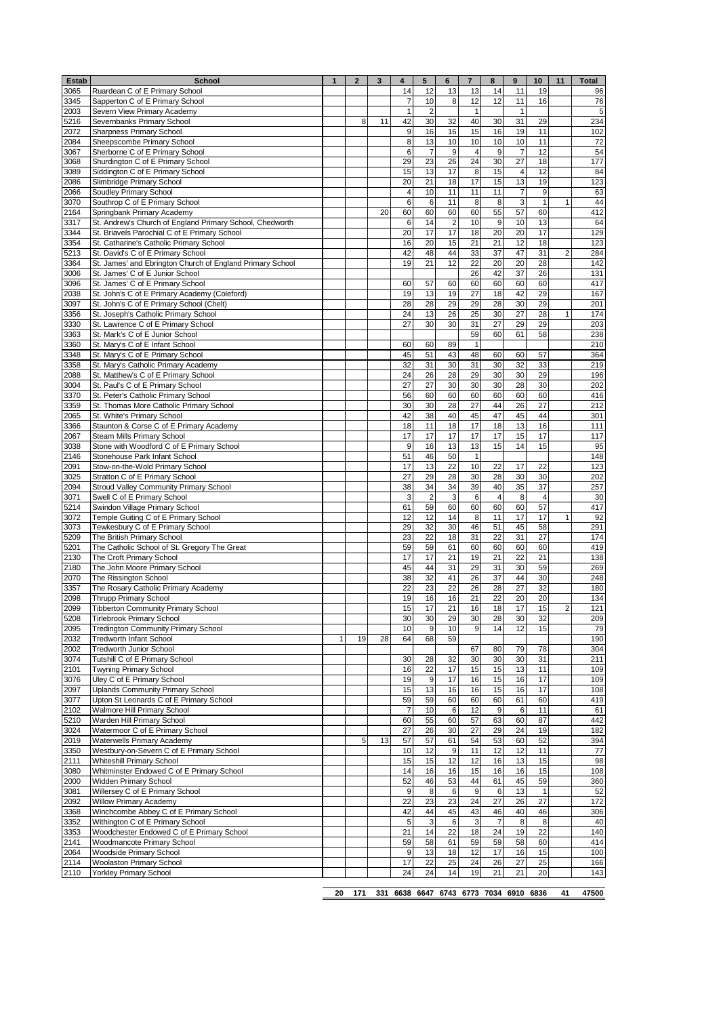| 3345<br>12<br>12<br>11<br>16<br>$\overline{7}$<br>10<br>8<br>76<br>Sapperton C of E Primary School<br>$\overline{2}$<br>2003<br>Severn View Primary Academy<br>$\mathbf{1}$<br>$\mathbf{1}$<br>$\mathbf{1}$<br>5<br>40<br>31<br>5216<br>Severnbanks Primary School<br>42<br>30<br>32<br>30<br>234<br>8<br>11<br>29<br><b>Sharpness Primary School</b><br>9<br>15<br>16<br>19<br>11<br>2072<br>16<br>16<br>10<br>10<br>10<br>Sheepscombe Primary School<br>8<br>13<br>10<br>11<br>6<br>$\overline{7}$<br>9<br>$\overline{\mathbf{4}}$<br>9<br>7<br>12<br>Sherborne C of E Primary School<br>29<br>23<br>24<br>30<br>27<br>18<br>3068<br>Shurdington C of E Primary School<br>26<br>Siddington C of E Primary School<br>15<br>13<br>17<br>8<br>15<br>4<br>12<br>84<br>3089<br>17<br>13<br>20<br>21<br>18<br>15<br>19<br>123<br>2086<br>Slimbridge Primary School<br>11<br>Soudley Primary School<br>$\overline{4}$<br>10<br>11<br>7<br>9<br>63<br>2066<br>11<br>3070<br>6<br>11<br>8<br>8<br>3<br>$\mathbf{1}$<br>Southrop C of E Primary School<br>6<br>44<br>60<br>55<br>57<br>412<br>2164<br>20<br>60<br>60<br>60<br>60<br>Springbank Primary Academy<br>10<br>St. Andrew's Church of England Primary School, Chedworth<br>14<br>$\overline{2}$<br>10<br>9<br>13<br>3317<br>6<br>17<br>17<br>18<br>20<br>20<br>17<br>St. Briavels Parochial C of E Primary School<br>20<br>12<br>16<br>20<br>15<br>21<br>21<br>18<br>123<br>3354<br>St. Catharine's Catholic Primary School<br>42<br>33<br>37<br>47<br>31<br>284<br>48<br>44<br>2<br>St. David's C of E Primary School<br>20<br>19<br>21<br>12<br>22<br>20<br>28<br>142<br>3364<br>St. James' and Ebrington Church of England Primary School<br>37<br>St. James' C of E Junior School<br>26<br>42<br>26<br>131<br>3006<br>60<br>St. James' C of E Primary School<br>60<br>60<br>60<br>417<br>3096<br>60<br>57<br>60<br>42<br>St. John's C of E Primary Academy (Coleford)<br>19<br>13<br>19<br>27<br>18<br>29<br>167<br>2038<br>3097<br>28<br>28<br>29<br>28<br>30<br>29<br>201<br>St. John's C of E Primary School (Chelt)<br>29<br>25<br>30<br>27<br>28<br>3356<br>St. Joseph's Catholic Primary School<br>24<br>13<br>26<br>$\mathbf{1}$<br>174<br>29<br>27<br>30<br>31<br>27<br>29<br>203<br>3330<br>St. Lawrence C of E Primary School<br>30<br>59<br>60<br>61<br>58<br>St. Mark's C of E Junior School<br>238<br>210<br>3360<br>St. Mary's C of E Infant School<br>60<br>60<br>89<br>1<br>3348<br>48<br>45<br>51<br>43<br>60<br>60<br>57<br>364<br>St. Mary's C of E Primary School<br>32<br>31<br>30<br>32<br>33<br>219<br>3358<br>St. Mary's Catholic Primary Academy<br>31<br>30<br>30<br>St. Matthew's C of E Primary School<br>26<br>29<br>30<br>29<br>2088<br>24<br>28<br>196<br>27<br>27<br>30<br>30<br>28<br>30<br>3004<br>St. Paul's C of E Primary School<br>30<br>202<br>3370<br>56<br>60<br>60<br>60<br>60<br>60<br>416<br>St. Peter's Catholic Primary School<br>60<br>3359<br>30<br>27<br>44<br>26<br>27<br>212<br>St. Thomas More Catholic Primary School<br>30<br>28<br>38<br>45<br>47<br>45<br>2065<br>St. White's Primary School<br>42<br>40<br>44<br>301<br>13<br>Staunton & Corse C of E Primary Academy<br>18<br>11<br>18<br>17<br>18<br>16<br>3366<br>17<br>17<br>17<br>15<br>17<br>Steam Mills Primary School<br>17<br>17<br>13<br>9<br>16<br>13<br>15<br>14<br>15<br>3038<br>Stone with Woodford C of E Primary School<br>2146<br>51<br>50<br>$\mathbf{1}$<br>Stonehouse Park Infant School<br>46<br>148<br>22<br>10<br>123<br>2091<br>Stow-on-the-Wold Primary School<br>17<br>13<br>22<br>17<br>22<br>30<br>27<br>29<br>30<br>28<br>30<br>202<br>3025<br>Stratton C of E Primary School<br>28<br>2094<br>38<br>34<br>39<br>40<br>35<br>37<br>257<br>Stroud Valley Community Primary School<br>34<br>3<br>$\overline{2}$<br>3<br>6<br>$\overline{4}$<br>8<br>$\overline{4}$<br>30<br>3071<br>Swell C of E Primary School<br>60<br>5214<br>60<br>60<br>57<br>417<br>Swindon Village Primary School<br>61<br>59<br>60<br>17<br>Temple Guiting C of E Primary School<br>12<br>12<br>14<br>8<br>11<br>17<br>1<br>45<br>29<br>32<br>30<br>46<br>51<br>58<br>Tewkesbury C of E Primary School<br>23<br>22<br>31<br>22<br>31<br>27<br>The British Primary School<br>18<br>The Catholic School of St. Gregory The Great<br>59<br>59<br>60<br>60<br>60<br>60<br>61<br>2130<br>$\overline{22}$<br>17<br>17<br>21<br>19<br>21<br>21<br>138<br>The Croft Primary School<br>29<br>2180<br>The John Moore Primary School<br>45<br>44<br>31<br>31<br>30<br>59<br>269<br>The Rissington School<br>38<br>32<br>26<br>37<br>44<br>30<br>248<br>2070<br>41<br>3357<br>22<br>26<br>28<br>27<br>32<br>180<br>The Rosary Catholic Primary Academy<br>23<br>22<br>20<br>19<br>21<br>22<br>20<br>134<br>2098<br><b>Thrupp Primary School</b><br>16<br>16<br>2099<br>17<br>21<br>16<br>18<br>17<br>15<br>$\overline{c}$<br>121<br>15<br><b>Tibberton Community Primary School</b><br>30<br>28<br>30<br>32<br>209<br>5208<br><b>Tirlebrook Primary School</b><br>30<br>30<br>29<br><b>Tredington Community Primary School</b><br>9<br>9<br>14<br>12<br>15<br>79<br>10<br>10<br>59<br>190<br><b>Tredworth Infant School</b><br>$\mathbf{1}$<br>19<br>28<br>64<br>68<br>80<br>79<br>78<br>304<br>Tredworth Junior School<br>67<br>31<br>3074<br>Tutshill C of E Primary School<br>30<br>30<br>30<br>211<br>30<br>28<br>32<br>13<br><b>Twyning Primary School</b><br>16<br>22<br>17<br>15<br>15<br>11<br>109<br>2101<br>17<br>3076<br>Uley C of E Primary School<br>17<br>16<br>15<br>16<br>109<br>19<br>9<br>17<br>2097<br>Uplands Community Primary School<br>15<br>13<br>16<br>16<br>15<br>16<br>108<br>60<br>60<br>61<br>60<br>419<br>3077<br>Upton St Leonards C of E Primary School<br>59<br>59<br>60<br>2102<br>Walmore Hill Primary School<br>$\overline{7}$<br>12<br>9<br>6<br>11<br>61<br>10<br>6<br>Warden Hill Primary School<br>57<br>63<br>60<br>87<br>442<br>5210<br>60<br>55<br>60<br>Watermoor C of E Primary School<br>27<br>29<br>24<br>19<br>182<br>27<br>26<br>30<br>52<br>57<br>57<br>54<br>53<br>60<br>394<br>Waterwells Primary Academy<br>5<br>13<br>61<br>Westbury-on-Severn C of E Primary School<br>11<br>12<br>12<br>11<br>77<br>10<br>12<br>9<br>Whiteshill Primary School<br>12<br>12<br>16<br>13<br>15<br>98<br>15<br>15<br>Whitminster Endowed C of E Primary School<br>14<br>15<br>16<br>16<br>15<br>108<br>3080<br>16<br>16<br>2000<br>Widden Primary School<br>52<br>44<br>61<br>45<br>59<br>360<br>46<br>53<br>$9\,$<br>3081<br>Willersey C of E Primary School<br>9<br>8<br>6<br>6<br>13<br>$\mathbf{1}$<br>52<br>27<br>22<br>23<br>23<br>24<br>26<br>27<br>172<br>2092<br>Willow Primary Academy<br>43<br>40<br>3368<br>Winchcombe Abbey C of E Primary School<br>42<br>44<br>46<br>46<br>306<br>45<br>Withington C of E Primary School<br>5<br>3<br>3<br>$\overline{7}$<br>8<br>8<br>40<br>6<br>18<br>19<br>22<br>140<br>Woodchester Endowed C of E Primary School<br>21<br>14<br>22<br>24<br>59<br>58<br>59<br>59<br>58<br>60<br>414<br>Woodmancote Primary School<br>61<br>Woodside Primary School<br>12<br>17<br>16<br>15<br>100<br>9<br>13<br>18<br>2114<br><b>Woolaston Primary School</b><br>25<br>24<br>26<br>27<br>25<br>17<br>22<br>166<br>Yorkley Primary School<br>19<br>21<br>2110<br>24<br>24<br>14<br>21<br>20<br>143<br>6638 6647 6743 6773 7034 6910 6836<br>47500<br>20<br>171<br>41<br>331 | Estab | <b>School</b>                  | $\mathbf{1}$ | $\mathbf{2}$ | 3 | 4  | 5  | 6  | $\overline{\mathbf{r}}$ | 8  | 9  | 10 | 11 | Total |
|---------------------------------------------------------------------------------------------------------------------------------------------------------------------------------------------------------------------------------------------------------------------------------------------------------------------------------------------------------------------------------------------------------------------------------------------------------------------------------------------------------------------------------------------------------------------------------------------------------------------------------------------------------------------------------------------------------------------------------------------------------------------------------------------------------------------------------------------------------------------------------------------------------------------------------------------------------------------------------------------------------------------------------------------------------------------------------------------------------------------------------------------------------------------------------------------------------------------------------------------------------------------------------------------------------------------------------------------------------------------------------------------------------------------------------------------------------------------------------------------------------------------------------------------------------------------------------------------------------------------------------------------------------------------------------------------------------------------------------------------------------------------------------------------------------------------------------------------------------------------------------------------------------------------------------------------------------------------------------------------------------------------------------------------------------------------------------------------------------------------------------------------------------------------------------------------------------------------------------------------------------------------------------------------------------------------------------------------------------------------------------------------------------------------------------------------------------------------------------------------------------------------------------------------------------------------------------------------------------------------------------------------------------------------------------------------------------------------------------------------------------------------------------------------------------------------------------------------------------------------------------------------------------------------------------------------------------------------------------------------------------------------------------------------------------------------------------------------------------------------------------------------------------------------------------------------------------------------------------------------------------------------------------------------------------------------------------------------------------------------------------------------------------------------------------------------------------------------------------------------------------------------------------------------------------------------------------------------------------------------------------------------------------------------------------------------------------------------------------------------------------------------------------------------------------------------------------------------------------------------------------------------------------------------------------------------------------------------------------------------------------------------------------------------------------------------------------------------------------------------------------------------------------------------------------------------------------------------------------------------------------------------------------------------------------------------------------------------------------------------------------------------------------------------------------------------------------------------------------------------------------------------------------------------------------------------------------------------------------------------------------------------------------------------------------------------------------------------------------------------------------------------------------------------------------------------------------------------------------------------------------------------------------------------------------------------------------------------------------------------------------------------------------------------------------------------------------------------------------------------------------------------------------------------------------------------------------------------------------------------------------------------------------------------------------------------------------------------------------------------------------------------------------------------------------------------------------------------------------------------------------------------------------------------------------------------------------------------------------------------------------------------------------------------------------------------------------------------------------------------------------------------------------------------------------------------------------------------------------------------------------------------------------------------------------------------------------------------------------------------------------------------------------------------------------------------------------------------------------------------------------------------------------------------------------------------------------------------------------------------------------------------------------------------------------------------------------------------------------------------------------------------------------------------------------------------------------------------------------------------------------------------------------------------------------------------------------------------------------------------------------------------------------------------------------------------------------------------------------------------------------------------------------------------------------------------------------------------------------------------------------------------------------------------------------------------------------------------------------------------------------------------------------------------------------------------------------------------------------------------------------------------------------------------------------------------------------------------------------------------------------------------------------------------------------------------------------------------------------------------------------------------------------|-------|--------------------------------|--------------|--------------|---|----|----|----|-------------------------|----|----|----|----|-------|
|                                                                                                                                                                                                                                                                                                                                                                                                                                                                                                                                                                                                                                                                                                                                                                                                                                                                                                                                                                                                                                                                                                                                                                                                                                                                                                                                                                                                                                                                                                                                                                                                                                                                                                                                                                                                                                                                                                                                                                                                                                                                                                                                                                                                                                                                                                                                                                                                                                                                                                                                                                                                                                                                                                                                                                                                                                                                                                                                                                                                                                                                                                                                                                                                                                                                                                                                                                                                                                                                                                                                                                                                                                                                                                                                                                                                                                                                                                                                                                                                                                                                                                                                                                                                                                                                                                                                                                                                                                                                                                                                                                                                                                                                                                                                                                                                                                                                                                                                                                                                                                                                                                                                                                                                                                                                                                                                                                                                                                                                                                                                                                                                                                                                                                                                                                                                                                                                                                                                                                                                                                                                                                                                                                                                                                                                                                                                                                                                                                                                                                                                                                                                                                                                                                                                                                                                                                                                                                                                                                                                                                                                                                                                                                                                                                                                                                                                                                                                         | 3065  | Ruardean C of E Primary School |              |              |   | 14 | 12 | 13 | 13                      | 14 | 11 | 19 |    | 96    |
|                                                                                                                                                                                                                                                                                                                                                                                                                                                                                                                                                                                                                                                                                                                                                                                                                                                                                                                                                                                                                                                                                                                                                                                                                                                                                                                                                                                                                                                                                                                                                                                                                                                                                                                                                                                                                                                                                                                                                                                                                                                                                                                                                                                                                                                                                                                                                                                                                                                                                                                                                                                                                                                                                                                                                                                                                                                                                                                                                                                                                                                                                                                                                                                                                                                                                                                                                                                                                                                                                                                                                                                                                                                                                                                                                                                                                                                                                                                                                                                                                                                                                                                                                                                                                                                                                                                                                                                                                                                                                                                                                                                                                                                                                                                                                                                                                                                                                                                                                                                                                                                                                                                                                                                                                                                                                                                                                                                                                                                                                                                                                                                                                                                                                                                                                                                                                                                                                                                                                                                                                                                                                                                                                                                                                                                                                                                                                                                                                                                                                                                                                                                                                                                                                                                                                                                                                                                                                                                                                                                                                                                                                                                                                                                                                                                                                                                                                                                                         |       |                                |              |              |   |    |    |    |                         |    |    |    |    |       |
|                                                                                                                                                                                                                                                                                                                                                                                                                                                                                                                                                                                                                                                                                                                                                                                                                                                                                                                                                                                                                                                                                                                                                                                                                                                                                                                                                                                                                                                                                                                                                                                                                                                                                                                                                                                                                                                                                                                                                                                                                                                                                                                                                                                                                                                                                                                                                                                                                                                                                                                                                                                                                                                                                                                                                                                                                                                                                                                                                                                                                                                                                                                                                                                                                                                                                                                                                                                                                                                                                                                                                                                                                                                                                                                                                                                                                                                                                                                                                                                                                                                                                                                                                                                                                                                                                                                                                                                                                                                                                                                                                                                                                                                                                                                                                                                                                                                                                                                                                                                                                                                                                                                                                                                                                                                                                                                                                                                                                                                                                                                                                                                                                                                                                                                                                                                                                                                                                                                                                                                                                                                                                                                                                                                                                                                                                                                                                                                                                                                                                                                                                                                                                                                                                                                                                                                                                                                                                                                                                                                                                                                                                                                                                                                                                                                                                                                                                                                                         |       |                                |              |              |   |    |    |    |                         |    |    |    |    |       |
|                                                                                                                                                                                                                                                                                                                                                                                                                                                                                                                                                                                                                                                                                                                                                                                                                                                                                                                                                                                                                                                                                                                                                                                                                                                                                                                                                                                                                                                                                                                                                                                                                                                                                                                                                                                                                                                                                                                                                                                                                                                                                                                                                                                                                                                                                                                                                                                                                                                                                                                                                                                                                                                                                                                                                                                                                                                                                                                                                                                                                                                                                                                                                                                                                                                                                                                                                                                                                                                                                                                                                                                                                                                                                                                                                                                                                                                                                                                                                                                                                                                                                                                                                                                                                                                                                                                                                                                                                                                                                                                                                                                                                                                                                                                                                                                                                                                                                                                                                                                                                                                                                                                                                                                                                                                                                                                                                                                                                                                                                                                                                                                                                                                                                                                                                                                                                                                                                                                                                                                                                                                                                                                                                                                                                                                                                                                                                                                                                                                                                                                                                                                                                                                                                                                                                                                                                                                                                                                                                                                                                                                                                                                                                                                                                                                                                                                                                                                                         |       |                                |              |              |   |    |    |    |                         |    |    |    |    | 102   |
|                                                                                                                                                                                                                                                                                                                                                                                                                                                                                                                                                                                                                                                                                                                                                                                                                                                                                                                                                                                                                                                                                                                                                                                                                                                                                                                                                                                                                                                                                                                                                                                                                                                                                                                                                                                                                                                                                                                                                                                                                                                                                                                                                                                                                                                                                                                                                                                                                                                                                                                                                                                                                                                                                                                                                                                                                                                                                                                                                                                                                                                                                                                                                                                                                                                                                                                                                                                                                                                                                                                                                                                                                                                                                                                                                                                                                                                                                                                                                                                                                                                                                                                                                                                                                                                                                                                                                                                                                                                                                                                                                                                                                                                                                                                                                                                                                                                                                                                                                                                                                                                                                                                                                                                                                                                                                                                                                                                                                                                                                                                                                                                                                                                                                                                                                                                                                                                                                                                                                                                                                                                                                                                                                                                                                                                                                                                                                                                                                                                                                                                                                                                                                                                                                                                                                                                                                                                                                                                                                                                                                                                                                                                                                                                                                                                                                                                                                                                                         | 2084  |                                |              |              |   |    |    |    |                         |    |    |    |    | 72    |
|                                                                                                                                                                                                                                                                                                                                                                                                                                                                                                                                                                                                                                                                                                                                                                                                                                                                                                                                                                                                                                                                                                                                                                                                                                                                                                                                                                                                                                                                                                                                                                                                                                                                                                                                                                                                                                                                                                                                                                                                                                                                                                                                                                                                                                                                                                                                                                                                                                                                                                                                                                                                                                                                                                                                                                                                                                                                                                                                                                                                                                                                                                                                                                                                                                                                                                                                                                                                                                                                                                                                                                                                                                                                                                                                                                                                                                                                                                                                                                                                                                                                                                                                                                                                                                                                                                                                                                                                                                                                                                                                                                                                                                                                                                                                                                                                                                                                                                                                                                                                                                                                                                                                                                                                                                                                                                                                                                                                                                                                                                                                                                                                                                                                                                                                                                                                                                                                                                                                                                                                                                                                                                                                                                                                                                                                                                                                                                                                                                                                                                                                                                                                                                                                                                                                                                                                                                                                                                                                                                                                                                                                                                                                                                                                                                                                                                                                                                                                         | 3067  |                                |              |              |   |    |    |    |                         |    |    |    |    | 54    |
|                                                                                                                                                                                                                                                                                                                                                                                                                                                                                                                                                                                                                                                                                                                                                                                                                                                                                                                                                                                                                                                                                                                                                                                                                                                                                                                                                                                                                                                                                                                                                                                                                                                                                                                                                                                                                                                                                                                                                                                                                                                                                                                                                                                                                                                                                                                                                                                                                                                                                                                                                                                                                                                                                                                                                                                                                                                                                                                                                                                                                                                                                                                                                                                                                                                                                                                                                                                                                                                                                                                                                                                                                                                                                                                                                                                                                                                                                                                                                                                                                                                                                                                                                                                                                                                                                                                                                                                                                                                                                                                                                                                                                                                                                                                                                                                                                                                                                                                                                                                                                                                                                                                                                                                                                                                                                                                                                                                                                                                                                                                                                                                                                                                                                                                                                                                                                                                                                                                                                                                                                                                                                                                                                                                                                                                                                                                                                                                                                                                                                                                                                                                                                                                                                                                                                                                                                                                                                                                                                                                                                                                                                                                                                                                                                                                                                                                                                                                                         |       |                                |              |              |   |    |    |    |                         |    |    |    |    | 177   |
|                                                                                                                                                                                                                                                                                                                                                                                                                                                                                                                                                                                                                                                                                                                                                                                                                                                                                                                                                                                                                                                                                                                                                                                                                                                                                                                                                                                                                                                                                                                                                                                                                                                                                                                                                                                                                                                                                                                                                                                                                                                                                                                                                                                                                                                                                                                                                                                                                                                                                                                                                                                                                                                                                                                                                                                                                                                                                                                                                                                                                                                                                                                                                                                                                                                                                                                                                                                                                                                                                                                                                                                                                                                                                                                                                                                                                                                                                                                                                                                                                                                                                                                                                                                                                                                                                                                                                                                                                                                                                                                                                                                                                                                                                                                                                                                                                                                                                                                                                                                                                                                                                                                                                                                                                                                                                                                                                                                                                                                                                                                                                                                                                                                                                                                                                                                                                                                                                                                                                                                                                                                                                                                                                                                                                                                                                                                                                                                                                                                                                                                                                                                                                                                                                                                                                                                                                                                                                                                                                                                                                                                                                                                                                                                                                                                                                                                                                                                                         |       |                                |              |              |   |    |    |    |                         |    |    |    |    |       |
|                                                                                                                                                                                                                                                                                                                                                                                                                                                                                                                                                                                                                                                                                                                                                                                                                                                                                                                                                                                                                                                                                                                                                                                                                                                                                                                                                                                                                                                                                                                                                                                                                                                                                                                                                                                                                                                                                                                                                                                                                                                                                                                                                                                                                                                                                                                                                                                                                                                                                                                                                                                                                                                                                                                                                                                                                                                                                                                                                                                                                                                                                                                                                                                                                                                                                                                                                                                                                                                                                                                                                                                                                                                                                                                                                                                                                                                                                                                                                                                                                                                                                                                                                                                                                                                                                                                                                                                                                                                                                                                                                                                                                                                                                                                                                                                                                                                                                                                                                                                                                                                                                                                                                                                                                                                                                                                                                                                                                                                                                                                                                                                                                                                                                                                                                                                                                                                                                                                                                                                                                                                                                                                                                                                                                                                                                                                                                                                                                                                                                                                                                                                                                                                                                                                                                                                                                                                                                                                                                                                                                                                                                                                                                                                                                                                                                                                                                                                                         |       |                                |              |              |   |    |    |    |                         |    |    |    |    |       |
|                                                                                                                                                                                                                                                                                                                                                                                                                                                                                                                                                                                                                                                                                                                                                                                                                                                                                                                                                                                                                                                                                                                                                                                                                                                                                                                                                                                                                                                                                                                                                                                                                                                                                                                                                                                                                                                                                                                                                                                                                                                                                                                                                                                                                                                                                                                                                                                                                                                                                                                                                                                                                                                                                                                                                                                                                                                                                                                                                                                                                                                                                                                                                                                                                                                                                                                                                                                                                                                                                                                                                                                                                                                                                                                                                                                                                                                                                                                                                                                                                                                                                                                                                                                                                                                                                                                                                                                                                                                                                                                                                                                                                                                                                                                                                                                                                                                                                                                                                                                                                                                                                                                                                                                                                                                                                                                                                                                                                                                                                                                                                                                                                                                                                                                                                                                                                                                                                                                                                                                                                                                                                                                                                                                                                                                                                                                                                                                                                                                                                                                                                                                                                                                                                                                                                                                                                                                                                                                                                                                                                                                                                                                                                                                                                                                                                                                                                                                                         |       |                                |              |              |   |    |    |    |                         |    |    |    |    |       |
|                                                                                                                                                                                                                                                                                                                                                                                                                                                                                                                                                                                                                                                                                                                                                                                                                                                                                                                                                                                                                                                                                                                                                                                                                                                                                                                                                                                                                                                                                                                                                                                                                                                                                                                                                                                                                                                                                                                                                                                                                                                                                                                                                                                                                                                                                                                                                                                                                                                                                                                                                                                                                                                                                                                                                                                                                                                                                                                                                                                                                                                                                                                                                                                                                                                                                                                                                                                                                                                                                                                                                                                                                                                                                                                                                                                                                                                                                                                                                                                                                                                                                                                                                                                                                                                                                                                                                                                                                                                                                                                                                                                                                                                                                                                                                                                                                                                                                                                                                                                                                                                                                                                                                                                                                                                                                                                                                                                                                                                                                                                                                                                                                                                                                                                                                                                                                                                                                                                                                                                                                                                                                                                                                                                                                                                                                                                                                                                                                                                                                                                                                                                                                                                                                                                                                                                                                                                                                                                                                                                                                                                                                                                                                                                                                                                                                                                                                                                                         |       |                                |              |              |   |    |    |    |                         |    |    |    |    |       |
|                                                                                                                                                                                                                                                                                                                                                                                                                                                                                                                                                                                                                                                                                                                                                                                                                                                                                                                                                                                                                                                                                                                                                                                                                                                                                                                                                                                                                                                                                                                                                                                                                                                                                                                                                                                                                                                                                                                                                                                                                                                                                                                                                                                                                                                                                                                                                                                                                                                                                                                                                                                                                                                                                                                                                                                                                                                                                                                                                                                                                                                                                                                                                                                                                                                                                                                                                                                                                                                                                                                                                                                                                                                                                                                                                                                                                                                                                                                                                                                                                                                                                                                                                                                                                                                                                                                                                                                                                                                                                                                                                                                                                                                                                                                                                                                                                                                                                                                                                                                                                                                                                                                                                                                                                                                                                                                                                                                                                                                                                                                                                                                                                                                                                                                                                                                                                                                                                                                                                                                                                                                                                                                                                                                                                                                                                                                                                                                                                                                                                                                                                                                                                                                                                                                                                                                                                                                                                                                                                                                                                                                                                                                                                                                                                                                                                                                                                                                                         |       |                                |              |              |   |    |    |    |                         |    |    |    |    | 64    |
|                                                                                                                                                                                                                                                                                                                                                                                                                                                                                                                                                                                                                                                                                                                                                                                                                                                                                                                                                                                                                                                                                                                                                                                                                                                                                                                                                                                                                                                                                                                                                                                                                                                                                                                                                                                                                                                                                                                                                                                                                                                                                                                                                                                                                                                                                                                                                                                                                                                                                                                                                                                                                                                                                                                                                                                                                                                                                                                                                                                                                                                                                                                                                                                                                                                                                                                                                                                                                                                                                                                                                                                                                                                                                                                                                                                                                                                                                                                                                                                                                                                                                                                                                                                                                                                                                                                                                                                                                                                                                                                                                                                                                                                                                                                                                                                                                                                                                                                                                                                                                                                                                                                                                                                                                                                                                                                                                                                                                                                                                                                                                                                                                                                                                                                                                                                                                                                                                                                                                                                                                                                                                                                                                                                                                                                                                                                                                                                                                                                                                                                                                                                                                                                                                                                                                                                                                                                                                                                                                                                                                                                                                                                                                                                                                                                                                                                                                                                                         | 3344  |                                |              |              |   |    |    |    |                         |    |    |    |    | 129   |
|                                                                                                                                                                                                                                                                                                                                                                                                                                                                                                                                                                                                                                                                                                                                                                                                                                                                                                                                                                                                                                                                                                                                                                                                                                                                                                                                                                                                                                                                                                                                                                                                                                                                                                                                                                                                                                                                                                                                                                                                                                                                                                                                                                                                                                                                                                                                                                                                                                                                                                                                                                                                                                                                                                                                                                                                                                                                                                                                                                                                                                                                                                                                                                                                                                                                                                                                                                                                                                                                                                                                                                                                                                                                                                                                                                                                                                                                                                                                                                                                                                                                                                                                                                                                                                                                                                                                                                                                                                                                                                                                                                                                                                                                                                                                                                                                                                                                                                                                                                                                                                                                                                                                                                                                                                                                                                                                                                                                                                                                                                                                                                                                                                                                                                                                                                                                                                                                                                                                                                                                                                                                                                                                                                                                                                                                                                                                                                                                                                                                                                                                                                                                                                                                                                                                                                                                                                                                                                                                                                                                                                                                                                                                                                                                                                                                                                                                                                                                         |       |                                |              |              |   |    |    |    |                         |    |    |    |    |       |
|                                                                                                                                                                                                                                                                                                                                                                                                                                                                                                                                                                                                                                                                                                                                                                                                                                                                                                                                                                                                                                                                                                                                                                                                                                                                                                                                                                                                                                                                                                                                                                                                                                                                                                                                                                                                                                                                                                                                                                                                                                                                                                                                                                                                                                                                                                                                                                                                                                                                                                                                                                                                                                                                                                                                                                                                                                                                                                                                                                                                                                                                                                                                                                                                                                                                                                                                                                                                                                                                                                                                                                                                                                                                                                                                                                                                                                                                                                                                                                                                                                                                                                                                                                                                                                                                                                                                                                                                                                                                                                                                                                                                                                                                                                                                                                                                                                                                                                                                                                                                                                                                                                                                                                                                                                                                                                                                                                                                                                                                                                                                                                                                                                                                                                                                                                                                                                                                                                                                                                                                                                                                                                                                                                                                                                                                                                                                                                                                                                                                                                                                                                                                                                                                                                                                                                                                                                                                                                                                                                                                                                                                                                                                                                                                                                                                                                                                                                                                         | 5213  |                                |              |              |   |    |    |    |                         |    |    |    |    |       |
|                                                                                                                                                                                                                                                                                                                                                                                                                                                                                                                                                                                                                                                                                                                                                                                                                                                                                                                                                                                                                                                                                                                                                                                                                                                                                                                                                                                                                                                                                                                                                                                                                                                                                                                                                                                                                                                                                                                                                                                                                                                                                                                                                                                                                                                                                                                                                                                                                                                                                                                                                                                                                                                                                                                                                                                                                                                                                                                                                                                                                                                                                                                                                                                                                                                                                                                                                                                                                                                                                                                                                                                                                                                                                                                                                                                                                                                                                                                                                                                                                                                                                                                                                                                                                                                                                                                                                                                                                                                                                                                                                                                                                                                                                                                                                                                                                                                                                                                                                                                                                                                                                                                                                                                                                                                                                                                                                                                                                                                                                                                                                                                                                                                                                                                                                                                                                                                                                                                                                                                                                                                                                                                                                                                                                                                                                                                                                                                                                                                                                                                                                                                                                                                                                                                                                                                                                                                                                                                                                                                                                                                                                                                                                                                                                                                                                                                                                                                                         |       |                                |              |              |   |    |    |    |                         |    |    |    |    |       |
|                                                                                                                                                                                                                                                                                                                                                                                                                                                                                                                                                                                                                                                                                                                                                                                                                                                                                                                                                                                                                                                                                                                                                                                                                                                                                                                                                                                                                                                                                                                                                                                                                                                                                                                                                                                                                                                                                                                                                                                                                                                                                                                                                                                                                                                                                                                                                                                                                                                                                                                                                                                                                                                                                                                                                                                                                                                                                                                                                                                                                                                                                                                                                                                                                                                                                                                                                                                                                                                                                                                                                                                                                                                                                                                                                                                                                                                                                                                                                                                                                                                                                                                                                                                                                                                                                                                                                                                                                                                                                                                                                                                                                                                                                                                                                                                                                                                                                                                                                                                                                                                                                                                                                                                                                                                                                                                                                                                                                                                                                                                                                                                                                                                                                                                                                                                                                                                                                                                                                                                                                                                                                                                                                                                                                                                                                                                                                                                                                                                                                                                                                                                                                                                                                                                                                                                                                                                                                                                                                                                                                                                                                                                                                                                                                                                                                                                                                                                                         |       |                                |              |              |   |    |    |    |                         |    |    |    |    |       |
|                                                                                                                                                                                                                                                                                                                                                                                                                                                                                                                                                                                                                                                                                                                                                                                                                                                                                                                                                                                                                                                                                                                                                                                                                                                                                                                                                                                                                                                                                                                                                                                                                                                                                                                                                                                                                                                                                                                                                                                                                                                                                                                                                                                                                                                                                                                                                                                                                                                                                                                                                                                                                                                                                                                                                                                                                                                                                                                                                                                                                                                                                                                                                                                                                                                                                                                                                                                                                                                                                                                                                                                                                                                                                                                                                                                                                                                                                                                                                                                                                                                                                                                                                                                                                                                                                                                                                                                                                                                                                                                                                                                                                                                                                                                                                                                                                                                                                                                                                                                                                                                                                                                                                                                                                                                                                                                                                                                                                                                                                                                                                                                                                                                                                                                                                                                                                                                                                                                                                                                                                                                                                                                                                                                                                                                                                                                                                                                                                                                                                                                                                                                                                                                                                                                                                                                                                                                                                                                                                                                                                                                                                                                                                                                                                                                                                                                                                                                                         |       |                                |              |              |   |    |    |    |                         |    |    |    |    |       |
|                                                                                                                                                                                                                                                                                                                                                                                                                                                                                                                                                                                                                                                                                                                                                                                                                                                                                                                                                                                                                                                                                                                                                                                                                                                                                                                                                                                                                                                                                                                                                                                                                                                                                                                                                                                                                                                                                                                                                                                                                                                                                                                                                                                                                                                                                                                                                                                                                                                                                                                                                                                                                                                                                                                                                                                                                                                                                                                                                                                                                                                                                                                                                                                                                                                                                                                                                                                                                                                                                                                                                                                                                                                                                                                                                                                                                                                                                                                                                                                                                                                                                                                                                                                                                                                                                                                                                                                                                                                                                                                                                                                                                                                                                                                                                                                                                                                                                                                                                                                                                                                                                                                                                                                                                                                                                                                                                                                                                                                                                                                                                                                                                                                                                                                                                                                                                                                                                                                                                                                                                                                                                                                                                                                                                                                                                                                                                                                                                                                                                                                                                                                                                                                                                                                                                                                                                                                                                                                                                                                                                                                                                                                                                                                                                                                                                                                                                                                                         |       |                                |              |              |   |    |    |    |                         |    |    |    |    |       |
|                                                                                                                                                                                                                                                                                                                                                                                                                                                                                                                                                                                                                                                                                                                                                                                                                                                                                                                                                                                                                                                                                                                                                                                                                                                                                                                                                                                                                                                                                                                                                                                                                                                                                                                                                                                                                                                                                                                                                                                                                                                                                                                                                                                                                                                                                                                                                                                                                                                                                                                                                                                                                                                                                                                                                                                                                                                                                                                                                                                                                                                                                                                                                                                                                                                                                                                                                                                                                                                                                                                                                                                                                                                                                                                                                                                                                                                                                                                                                                                                                                                                                                                                                                                                                                                                                                                                                                                                                                                                                                                                                                                                                                                                                                                                                                                                                                                                                                                                                                                                                                                                                                                                                                                                                                                                                                                                                                                                                                                                                                                                                                                                                                                                                                                                                                                                                                                                                                                                                                                                                                                                                                                                                                                                                                                                                                                                                                                                                                                                                                                                                                                                                                                                                                                                                                                                                                                                                                                                                                                                                                                                                                                                                                                                                                                                                                                                                                                                         |       |                                |              |              |   |    |    |    |                         |    |    |    |    |       |
|                                                                                                                                                                                                                                                                                                                                                                                                                                                                                                                                                                                                                                                                                                                                                                                                                                                                                                                                                                                                                                                                                                                                                                                                                                                                                                                                                                                                                                                                                                                                                                                                                                                                                                                                                                                                                                                                                                                                                                                                                                                                                                                                                                                                                                                                                                                                                                                                                                                                                                                                                                                                                                                                                                                                                                                                                                                                                                                                                                                                                                                                                                                                                                                                                                                                                                                                                                                                                                                                                                                                                                                                                                                                                                                                                                                                                                                                                                                                                                                                                                                                                                                                                                                                                                                                                                                                                                                                                                                                                                                                                                                                                                                                                                                                                                                                                                                                                                                                                                                                                                                                                                                                                                                                                                                                                                                                                                                                                                                                                                                                                                                                                                                                                                                                                                                                                                                                                                                                                                                                                                                                                                                                                                                                                                                                                                                                                                                                                                                                                                                                                                                                                                                                                                                                                                                                                                                                                                                                                                                                                                                                                                                                                                                                                                                                                                                                                                                                         |       |                                |              |              |   |    |    |    |                         |    |    |    |    |       |
|                                                                                                                                                                                                                                                                                                                                                                                                                                                                                                                                                                                                                                                                                                                                                                                                                                                                                                                                                                                                                                                                                                                                                                                                                                                                                                                                                                                                                                                                                                                                                                                                                                                                                                                                                                                                                                                                                                                                                                                                                                                                                                                                                                                                                                                                                                                                                                                                                                                                                                                                                                                                                                                                                                                                                                                                                                                                                                                                                                                                                                                                                                                                                                                                                                                                                                                                                                                                                                                                                                                                                                                                                                                                                                                                                                                                                                                                                                                                                                                                                                                                                                                                                                                                                                                                                                                                                                                                                                                                                                                                                                                                                                                                                                                                                                                                                                                                                                                                                                                                                                                                                                                                                                                                                                                                                                                                                                                                                                                                                                                                                                                                                                                                                                                                                                                                                                                                                                                                                                                                                                                                                                                                                                                                                                                                                                                                                                                                                                                                                                                                                                                                                                                                                                                                                                                                                                                                                                                                                                                                                                                                                                                                                                                                                                                                                                                                                                                                         | 3363  |                                |              |              |   |    |    |    |                         |    |    |    |    |       |
|                                                                                                                                                                                                                                                                                                                                                                                                                                                                                                                                                                                                                                                                                                                                                                                                                                                                                                                                                                                                                                                                                                                                                                                                                                                                                                                                                                                                                                                                                                                                                                                                                                                                                                                                                                                                                                                                                                                                                                                                                                                                                                                                                                                                                                                                                                                                                                                                                                                                                                                                                                                                                                                                                                                                                                                                                                                                                                                                                                                                                                                                                                                                                                                                                                                                                                                                                                                                                                                                                                                                                                                                                                                                                                                                                                                                                                                                                                                                                                                                                                                                                                                                                                                                                                                                                                                                                                                                                                                                                                                                                                                                                                                                                                                                                                                                                                                                                                                                                                                                                                                                                                                                                                                                                                                                                                                                                                                                                                                                                                                                                                                                                                                                                                                                                                                                                                                                                                                                                                                                                                                                                                                                                                                                                                                                                                                                                                                                                                                                                                                                                                                                                                                                                                                                                                                                                                                                                                                                                                                                                                                                                                                                                                                                                                                                                                                                                                                                         |       |                                |              |              |   |    |    |    |                         |    |    |    |    |       |
|                                                                                                                                                                                                                                                                                                                                                                                                                                                                                                                                                                                                                                                                                                                                                                                                                                                                                                                                                                                                                                                                                                                                                                                                                                                                                                                                                                                                                                                                                                                                                                                                                                                                                                                                                                                                                                                                                                                                                                                                                                                                                                                                                                                                                                                                                                                                                                                                                                                                                                                                                                                                                                                                                                                                                                                                                                                                                                                                                                                                                                                                                                                                                                                                                                                                                                                                                                                                                                                                                                                                                                                                                                                                                                                                                                                                                                                                                                                                                                                                                                                                                                                                                                                                                                                                                                                                                                                                                                                                                                                                                                                                                                                                                                                                                                                                                                                                                                                                                                                                                                                                                                                                                                                                                                                                                                                                                                                                                                                                                                                                                                                                                                                                                                                                                                                                                                                                                                                                                                                                                                                                                                                                                                                                                                                                                                                                                                                                                                                                                                                                                                                                                                                                                                                                                                                                                                                                                                                                                                                                                                                                                                                                                                                                                                                                                                                                                                                                         |       |                                |              |              |   |    |    |    |                         |    |    |    |    |       |
|                                                                                                                                                                                                                                                                                                                                                                                                                                                                                                                                                                                                                                                                                                                                                                                                                                                                                                                                                                                                                                                                                                                                                                                                                                                                                                                                                                                                                                                                                                                                                                                                                                                                                                                                                                                                                                                                                                                                                                                                                                                                                                                                                                                                                                                                                                                                                                                                                                                                                                                                                                                                                                                                                                                                                                                                                                                                                                                                                                                                                                                                                                                                                                                                                                                                                                                                                                                                                                                                                                                                                                                                                                                                                                                                                                                                                                                                                                                                                                                                                                                                                                                                                                                                                                                                                                                                                                                                                                                                                                                                                                                                                                                                                                                                                                                                                                                                                                                                                                                                                                                                                                                                                                                                                                                                                                                                                                                                                                                                                                                                                                                                                                                                                                                                                                                                                                                                                                                                                                                                                                                                                                                                                                                                                                                                                                                                                                                                                                                                                                                                                                                                                                                                                                                                                                                                                                                                                                                                                                                                                                                                                                                                                                                                                                                                                                                                                                                                         |       |                                |              |              |   |    |    |    |                         |    |    |    |    |       |
|                                                                                                                                                                                                                                                                                                                                                                                                                                                                                                                                                                                                                                                                                                                                                                                                                                                                                                                                                                                                                                                                                                                                                                                                                                                                                                                                                                                                                                                                                                                                                                                                                                                                                                                                                                                                                                                                                                                                                                                                                                                                                                                                                                                                                                                                                                                                                                                                                                                                                                                                                                                                                                                                                                                                                                                                                                                                                                                                                                                                                                                                                                                                                                                                                                                                                                                                                                                                                                                                                                                                                                                                                                                                                                                                                                                                                                                                                                                                                                                                                                                                                                                                                                                                                                                                                                                                                                                                                                                                                                                                                                                                                                                                                                                                                                                                                                                                                                                                                                                                                                                                                                                                                                                                                                                                                                                                                                                                                                                                                                                                                                                                                                                                                                                                                                                                                                                                                                                                                                                                                                                                                                                                                                                                                                                                                                                                                                                                                                                                                                                                                                                                                                                                                                                                                                                                                                                                                                                                                                                                                                                                                                                                                                                                                                                                                                                                                                                                         |       |                                |              |              |   |    |    |    |                         |    |    |    |    |       |
|                                                                                                                                                                                                                                                                                                                                                                                                                                                                                                                                                                                                                                                                                                                                                                                                                                                                                                                                                                                                                                                                                                                                                                                                                                                                                                                                                                                                                                                                                                                                                                                                                                                                                                                                                                                                                                                                                                                                                                                                                                                                                                                                                                                                                                                                                                                                                                                                                                                                                                                                                                                                                                                                                                                                                                                                                                                                                                                                                                                                                                                                                                                                                                                                                                                                                                                                                                                                                                                                                                                                                                                                                                                                                                                                                                                                                                                                                                                                                                                                                                                                                                                                                                                                                                                                                                                                                                                                                                                                                                                                                                                                                                                                                                                                                                                                                                                                                                                                                                                                                                                                                                                                                                                                                                                                                                                                                                                                                                                                                                                                                                                                                                                                                                                                                                                                                                                                                                                                                                                                                                                                                                                                                                                                                                                                                                                                                                                                                                                                                                                                                                                                                                                                                                                                                                                                                                                                                                                                                                                                                                                                                                                                                                                                                                                                                                                                                                                                         |       |                                |              |              |   |    |    |    |                         |    |    |    |    |       |
|                                                                                                                                                                                                                                                                                                                                                                                                                                                                                                                                                                                                                                                                                                                                                                                                                                                                                                                                                                                                                                                                                                                                                                                                                                                                                                                                                                                                                                                                                                                                                                                                                                                                                                                                                                                                                                                                                                                                                                                                                                                                                                                                                                                                                                                                                                                                                                                                                                                                                                                                                                                                                                                                                                                                                                                                                                                                                                                                                                                                                                                                                                                                                                                                                                                                                                                                                                                                                                                                                                                                                                                                                                                                                                                                                                                                                                                                                                                                                                                                                                                                                                                                                                                                                                                                                                                                                                                                                                                                                                                                                                                                                                                                                                                                                                                                                                                                                                                                                                                                                                                                                                                                                                                                                                                                                                                                                                                                                                                                                                                                                                                                                                                                                                                                                                                                                                                                                                                                                                                                                                                                                                                                                                                                                                                                                                                                                                                                                                                                                                                                                                                                                                                                                                                                                                                                                                                                                                                                                                                                                                                                                                                                                                                                                                                                                                                                                                                                         |       |                                |              |              |   |    |    |    |                         |    |    |    |    |       |
|                                                                                                                                                                                                                                                                                                                                                                                                                                                                                                                                                                                                                                                                                                                                                                                                                                                                                                                                                                                                                                                                                                                                                                                                                                                                                                                                                                                                                                                                                                                                                                                                                                                                                                                                                                                                                                                                                                                                                                                                                                                                                                                                                                                                                                                                                                                                                                                                                                                                                                                                                                                                                                                                                                                                                                                                                                                                                                                                                                                                                                                                                                                                                                                                                                                                                                                                                                                                                                                                                                                                                                                                                                                                                                                                                                                                                                                                                                                                                                                                                                                                                                                                                                                                                                                                                                                                                                                                                                                                                                                                                                                                                                                                                                                                                                                                                                                                                                                                                                                                                                                                                                                                                                                                                                                                                                                                                                                                                                                                                                                                                                                                                                                                                                                                                                                                                                                                                                                                                                                                                                                                                                                                                                                                                                                                                                                                                                                                                                                                                                                                                                                                                                                                                                                                                                                                                                                                                                                                                                                                                                                                                                                                                                                                                                                                                                                                                                                                         |       |                                |              |              |   |    |    |    |                         |    |    |    |    |       |
|                                                                                                                                                                                                                                                                                                                                                                                                                                                                                                                                                                                                                                                                                                                                                                                                                                                                                                                                                                                                                                                                                                                                                                                                                                                                                                                                                                                                                                                                                                                                                                                                                                                                                                                                                                                                                                                                                                                                                                                                                                                                                                                                                                                                                                                                                                                                                                                                                                                                                                                                                                                                                                                                                                                                                                                                                                                                                                                                                                                                                                                                                                                                                                                                                                                                                                                                                                                                                                                                                                                                                                                                                                                                                                                                                                                                                                                                                                                                                                                                                                                                                                                                                                                                                                                                                                                                                                                                                                                                                                                                                                                                                                                                                                                                                                                                                                                                                                                                                                                                                                                                                                                                                                                                                                                                                                                                                                                                                                                                                                                                                                                                                                                                                                                                                                                                                                                                                                                                                                                                                                                                                                                                                                                                                                                                                                                                                                                                                                                                                                                                                                                                                                                                                                                                                                                                                                                                                                                                                                                                                                                                                                                                                                                                                                                                                                                                                                                                         |       |                                |              |              |   |    |    |    |                         |    |    |    |    | 111   |
|                                                                                                                                                                                                                                                                                                                                                                                                                                                                                                                                                                                                                                                                                                                                                                                                                                                                                                                                                                                                                                                                                                                                                                                                                                                                                                                                                                                                                                                                                                                                                                                                                                                                                                                                                                                                                                                                                                                                                                                                                                                                                                                                                                                                                                                                                                                                                                                                                                                                                                                                                                                                                                                                                                                                                                                                                                                                                                                                                                                                                                                                                                                                                                                                                                                                                                                                                                                                                                                                                                                                                                                                                                                                                                                                                                                                                                                                                                                                                                                                                                                                                                                                                                                                                                                                                                                                                                                                                                                                                                                                                                                                                                                                                                                                                                                                                                                                                                                                                                                                                                                                                                                                                                                                                                                                                                                                                                                                                                                                                                                                                                                                                                                                                                                                                                                                                                                                                                                                                                                                                                                                                                                                                                                                                                                                                                                                                                                                                                                                                                                                                                                                                                                                                                                                                                                                                                                                                                                                                                                                                                                                                                                                                                                                                                                                                                                                                                                                         | 2067  |                                |              |              |   |    |    |    |                         |    |    |    |    | 117   |
|                                                                                                                                                                                                                                                                                                                                                                                                                                                                                                                                                                                                                                                                                                                                                                                                                                                                                                                                                                                                                                                                                                                                                                                                                                                                                                                                                                                                                                                                                                                                                                                                                                                                                                                                                                                                                                                                                                                                                                                                                                                                                                                                                                                                                                                                                                                                                                                                                                                                                                                                                                                                                                                                                                                                                                                                                                                                                                                                                                                                                                                                                                                                                                                                                                                                                                                                                                                                                                                                                                                                                                                                                                                                                                                                                                                                                                                                                                                                                                                                                                                                                                                                                                                                                                                                                                                                                                                                                                                                                                                                                                                                                                                                                                                                                                                                                                                                                                                                                                                                                                                                                                                                                                                                                                                                                                                                                                                                                                                                                                                                                                                                                                                                                                                                                                                                                                                                                                                                                                                                                                                                                                                                                                                                                                                                                                                                                                                                                                                                                                                                                                                                                                                                                                                                                                                                                                                                                                                                                                                                                                                                                                                                                                                                                                                                                                                                                                                                         |       |                                |              |              |   |    |    |    |                         |    |    |    |    | 95    |
|                                                                                                                                                                                                                                                                                                                                                                                                                                                                                                                                                                                                                                                                                                                                                                                                                                                                                                                                                                                                                                                                                                                                                                                                                                                                                                                                                                                                                                                                                                                                                                                                                                                                                                                                                                                                                                                                                                                                                                                                                                                                                                                                                                                                                                                                                                                                                                                                                                                                                                                                                                                                                                                                                                                                                                                                                                                                                                                                                                                                                                                                                                                                                                                                                                                                                                                                                                                                                                                                                                                                                                                                                                                                                                                                                                                                                                                                                                                                                                                                                                                                                                                                                                                                                                                                                                                                                                                                                                                                                                                                                                                                                                                                                                                                                                                                                                                                                                                                                                                                                                                                                                                                                                                                                                                                                                                                                                                                                                                                                                                                                                                                                                                                                                                                                                                                                                                                                                                                                                                                                                                                                                                                                                                                                                                                                                                                                                                                                                                                                                                                                                                                                                                                                                                                                                                                                                                                                                                                                                                                                                                                                                                                                                                                                                                                                                                                                                                                         |       |                                |              |              |   |    |    |    |                         |    |    |    |    |       |
|                                                                                                                                                                                                                                                                                                                                                                                                                                                                                                                                                                                                                                                                                                                                                                                                                                                                                                                                                                                                                                                                                                                                                                                                                                                                                                                                                                                                                                                                                                                                                                                                                                                                                                                                                                                                                                                                                                                                                                                                                                                                                                                                                                                                                                                                                                                                                                                                                                                                                                                                                                                                                                                                                                                                                                                                                                                                                                                                                                                                                                                                                                                                                                                                                                                                                                                                                                                                                                                                                                                                                                                                                                                                                                                                                                                                                                                                                                                                                                                                                                                                                                                                                                                                                                                                                                                                                                                                                                                                                                                                                                                                                                                                                                                                                                                                                                                                                                                                                                                                                                                                                                                                                                                                                                                                                                                                                                                                                                                                                                                                                                                                                                                                                                                                                                                                                                                                                                                                                                                                                                                                                                                                                                                                                                                                                                                                                                                                                                                                                                                                                                                                                                                                                                                                                                                                                                                                                                                                                                                                                                                                                                                                                                                                                                                                                                                                                                                                         |       |                                |              |              |   |    |    |    |                         |    |    |    |    |       |
|                                                                                                                                                                                                                                                                                                                                                                                                                                                                                                                                                                                                                                                                                                                                                                                                                                                                                                                                                                                                                                                                                                                                                                                                                                                                                                                                                                                                                                                                                                                                                                                                                                                                                                                                                                                                                                                                                                                                                                                                                                                                                                                                                                                                                                                                                                                                                                                                                                                                                                                                                                                                                                                                                                                                                                                                                                                                                                                                                                                                                                                                                                                                                                                                                                                                                                                                                                                                                                                                                                                                                                                                                                                                                                                                                                                                                                                                                                                                                                                                                                                                                                                                                                                                                                                                                                                                                                                                                                                                                                                                                                                                                                                                                                                                                                                                                                                                                                                                                                                                                                                                                                                                                                                                                                                                                                                                                                                                                                                                                                                                                                                                                                                                                                                                                                                                                                                                                                                                                                                                                                                                                                                                                                                                                                                                                                                                                                                                                                                                                                                                                                                                                                                                                                                                                                                                                                                                                                                                                                                                                                                                                                                                                                                                                                                                                                                                                                                                         |       |                                |              |              |   |    |    |    |                         |    |    |    |    |       |
|                                                                                                                                                                                                                                                                                                                                                                                                                                                                                                                                                                                                                                                                                                                                                                                                                                                                                                                                                                                                                                                                                                                                                                                                                                                                                                                                                                                                                                                                                                                                                                                                                                                                                                                                                                                                                                                                                                                                                                                                                                                                                                                                                                                                                                                                                                                                                                                                                                                                                                                                                                                                                                                                                                                                                                                                                                                                                                                                                                                                                                                                                                                                                                                                                                                                                                                                                                                                                                                                                                                                                                                                                                                                                                                                                                                                                                                                                                                                                                                                                                                                                                                                                                                                                                                                                                                                                                                                                                                                                                                                                                                                                                                                                                                                                                                                                                                                                                                                                                                                                                                                                                                                                                                                                                                                                                                                                                                                                                                                                                                                                                                                                                                                                                                                                                                                                                                                                                                                                                                                                                                                                                                                                                                                                                                                                                                                                                                                                                                                                                                                                                                                                                                                                                                                                                                                                                                                                                                                                                                                                                                                                                                                                                                                                                                                                                                                                                                                         |       |                                |              |              |   |    |    |    |                         |    |    |    |    |       |
|                                                                                                                                                                                                                                                                                                                                                                                                                                                                                                                                                                                                                                                                                                                                                                                                                                                                                                                                                                                                                                                                                                                                                                                                                                                                                                                                                                                                                                                                                                                                                                                                                                                                                                                                                                                                                                                                                                                                                                                                                                                                                                                                                                                                                                                                                                                                                                                                                                                                                                                                                                                                                                                                                                                                                                                                                                                                                                                                                                                                                                                                                                                                                                                                                                                                                                                                                                                                                                                                                                                                                                                                                                                                                                                                                                                                                                                                                                                                                                                                                                                                                                                                                                                                                                                                                                                                                                                                                                                                                                                                                                                                                                                                                                                                                                                                                                                                                                                                                                                                                                                                                                                                                                                                                                                                                                                                                                                                                                                                                                                                                                                                                                                                                                                                                                                                                                                                                                                                                                                                                                                                                                                                                                                                                                                                                                                                                                                                                                                                                                                                                                                                                                                                                                                                                                                                                                                                                                                                                                                                                                                                                                                                                                                                                                                                                                                                                                                                         |       |                                |              |              |   |    |    |    |                         |    |    |    |    |       |
|                                                                                                                                                                                                                                                                                                                                                                                                                                                                                                                                                                                                                                                                                                                                                                                                                                                                                                                                                                                                                                                                                                                                                                                                                                                                                                                                                                                                                                                                                                                                                                                                                                                                                                                                                                                                                                                                                                                                                                                                                                                                                                                                                                                                                                                                                                                                                                                                                                                                                                                                                                                                                                                                                                                                                                                                                                                                                                                                                                                                                                                                                                                                                                                                                                                                                                                                                                                                                                                                                                                                                                                                                                                                                                                                                                                                                                                                                                                                                                                                                                                                                                                                                                                                                                                                                                                                                                                                                                                                                                                                                                                                                                                                                                                                                                                                                                                                                                                                                                                                                                                                                                                                                                                                                                                                                                                                                                                                                                                                                                                                                                                                                                                                                                                                                                                                                                                                                                                                                                                                                                                                                                                                                                                                                                                                                                                                                                                                                                                                                                                                                                                                                                                                                                                                                                                                                                                                                                                                                                                                                                                                                                                                                                                                                                                                                                                                                                                                         | 3072  |                                |              |              |   |    |    |    |                         |    |    |    |    | 92    |
|                                                                                                                                                                                                                                                                                                                                                                                                                                                                                                                                                                                                                                                                                                                                                                                                                                                                                                                                                                                                                                                                                                                                                                                                                                                                                                                                                                                                                                                                                                                                                                                                                                                                                                                                                                                                                                                                                                                                                                                                                                                                                                                                                                                                                                                                                                                                                                                                                                                                                                                                                                                                                                                                                                                                                                                                                                                                                                                                                                                                                                                                                                                                                                                                                                                                                                                                                                                                                                                                                                                                                                                                                                                                                                                                                                                                                                                                                                                                                                                                                                                                                                                                                                                                                                                                                                                                                                                                                                                                                                                                                                                                                                                                                                                                                                                                                                                                                                                                                                                                                                                                                                                                                                                                                                                                                                                                                                                                                                                                                                                                                                                                                                                                                                                                                                                                                                                                                                                                                                                                                                                                                                                                                                                                                                                                                                                                                                                                                                                                                                                                                                                                                                                                                                                                                                                                                                                                                                                                                                                                                                                                                                                                                                                                                                                                                                                                                                                                         | 3073  |                                |              |              |   |    |    |    |                         |    |    |    |    | 291   |
|                                                                                                                                                                                                                                                                                                                                                                                                                                                                                                                                                                                                                                                                                                                                                                                                                                                                                                                                                                                                                                                                                                                                                                                                                                                                                                                                                                                                                                                                                                                                                                                                                                                                                                                                                                                                                                                                                                                                                                                                                                                                                                                                                                                                                                                                                                                                                                                                                                                                                                                                                                                                                                                                                                                                                                                                                                                                                                                                                                                                                                                                                                                                                                                                                                                                                                                                                                                                                                                                                                                                                                                                                                                                                                                                                                                                                                                                                                                                                                                                                                                                                                                                                                                                                                                                                                                                                                                                                                                                                                                                                                                                                                                                                                                                                                                                                                                                                                                                                                                                                                                                                                                                                                                                                                                                                                                                                                                                                                                                                                                                                                                                                                                                                                                                                                                                                                                                                                                                                                                                                                                                                                                                                                                                                                                                                                                                                                                                                                                                                                                                                                                                                                                                                                                                                                                                                                                                                                                                                                                                                                                                                                                                                                                                                                                                                                                                                                                                         | 5209  |                                |              |              |   |    |    |    |                         |    |    |    |    | 174   |
|                                                                                                                                                                                                                                                                                                                                                                                                                                                                                                                                                                                                                                                                                                                                                                                                                                                                                                                                                                                                                                                                                                                                                                                                                                                                                                                                                                                                                                                                                                                                                                                                                                                                                                                                                                                                                                                                                                                                                                                                                                                                                                                                                                                                                                                                                                                                                                                                                                                                                                                                                                                                                                                                                                                                                                                                                                                                                                                                                                                                                                                                                                                                                                                                                                                                                                                                                                                                                                                                                                                                                                                                                                                                                                                                                                                                                                                                                                                                                                                                                                                                                                                                                                                                                                                                                                                                                                                                                                                                                                                                                                                                                                                                                                                                                                                                                                                                                                                                                                                                                                                                                                                                                                                                                                                                                                                                                                                                                                                                                                                                                                                                                                                                                                                                                                                                                                                                                                                                                                                                                                                                                                                                                                                                                                                                                                                                                                                                                                                                                                                                                                                                                                                                                                                                                                                                                                                                                                                                                                                                                                                                                                                                                                                                                                                                                                                                                                                                         | 5201  |                                |              |              |   |    |    |    |                         |    |    |    |    | 419   |
|                                                                                                                                                                                                                                                                                                                                                                                                                                                                                                                                                                                                                                                                                                                                                                                                                                                                                                                                                                                                                                                                                                                                                                                                                                                                                                                                                                                                                                                                                                                                                                                                                                                                                                                                                                                                                                                                                                                                                                                                                                                                                                                                                                                                                                                                                                                                                                                                                                                                                                                                                                                                                                                                                                                                                                                                                                                                                                                                                                                                                                                                                                                                                                                                                                                                                                                                                                                                                                                                                                                                                                                                                                                                                                                                                                                                                                                                                                                                                                                                                                                                                                                                                                                                                                                                                                                                                                                                                                                                                                                                                                                                                                                                                                                                                                                                                                                                                                                                                                                                                                                                                                                                                                                                                                                                                                                                                                                                                                                                                                                                                                                                                                                                                                                                                                                                                                                                                                                                                                                                                                                                                                                                                                                                                                                                                                                                                                                                                                                                                                                                                                                                                                                                                                                                                                                                                                                                                                                                                                                                                                                                                                                                                                                                                                                                                                                                                                                                         |       |                                |              |              |   |    |    |    |                         |    |    |    |    |       |
|                                                                                                                                                                                                                                                                                                                                                                                                                                                                                                                                                                                                                                                                                                                                                                                                                                                                                                                                                                                                                                                                                                                                                                                                                                                                                                                                                                                                                                                                                                                                                                                                                                                                                                                                                                                                                                                                                                                                                                                                                                                                                                                                                                                                                                                                                                                                                                                                                                                                                                                                                                                                                                                                                                                                                                                                                                                                                                                                                                                                                                                                                                                                                                                                                                                                                                                                                                                                                                                                                                                                                                                                                                                                                                                                                                                                                                                                                                                                                                                                                                                                                                                                                                                                                                                                                                                                                                                                                                                                                                                                                                                                                                                                                                                                                                                                                                                                                                                                                                                                                                                                                                                                                                                                                                                                                                                                                                                                                                                                                                                                                                                                                                                                                                                                                                                                                                                                                                                                                                                                                                                                                                                                                                                                                                                                                                                                                                                                                                                                                                                                                                                                                                                                                                                                                                                                                                                                                                                                                                                                                                                                                                                                                                                                                                                                                                                                                                                                         |       |                                |              |              |   |    |    |    |                         |    |    |    |    |       |
|                                                                                                                                                                                                                                                                                                                                                                                                                                                                                                                                                                                                                                                                                                                                                                                                                                                                                                                                                                                                                                                                                                                                                                                                                                                                                                                                                                                                                                                                                                                                                                                                                                                                                                                                                                                                                                                                                                                                                                                                                                                                                                                                                                                                                                                                                                                                                                                                                                                                                                                                                                                                                                                                                                                                                                                                                                                                                                                                                                                                                                                                                                                                                                                                                                                                                                                                                                                                                                                                                                                                                                                                                                                                                                                                                                                                                                                                                                                                                                                                                                                                                                                                                                                                                                                                                                                                                                                                                                                                                                                                                                                                                                                                                                                                                                                                                                                                                                                                                                                                                                                                                                                                                                                                                                                                                                                                                                                                                                                                                                                                                                                                                                                                                                                                                                                                                                                                                                                                                                                                                                                                                                                                                                                                                                                                                                                                                                                                                                                                                                                                                                                                                                                                                                                                                                                                                                                                                                                                                                                                                                                                                                                                                                                                                                                                                                                                                                                                         |       |                                |              |              |   |    |    |    |                         |    |    |    |    |       |
|                                                                                                                                                                                                                                                                                                                                                                                                                                                                                                                                                                                                                                                                                                                                                                                                                                                                                                                                                                                                                                                                                                                                                                                                                                                                                                                                                                                                                                                                                                                                                                                                                                                                                                                                                                                                                                                                                                                                                                                                                                                                                                                                                                                                                                                                                                                                                                                                                                                                                                                                                                                                                                                                                                                                                                                                                                                                                                                                                                                                                                                                                                                                                                                                                                                                                                                                                                                                                                                                                                                                                                                                                                                                                                                                                                                                                                                                                                                                                                                                                                                                                                                                                                                                                                                                                                                                                                                                                                                                                                                                                                                                                                                                                                                                                                                                                                                                                                                                                                                                                                                                                                                                                                                                                                                                                                                                                                                                                                                                                                                                                                                                                                                                                                                                                                                                                                                                                                                                                                                                                                                                                                                                                                                                                                                                                                                                                                                                                                                                                                                                                                                                                                                                                                                                                                                                                                                                                                                                                                                                                                                                                                                                                                                                                                                                                                                                                                                                         |       |                                |              |              |   |    |    |    |                         |    |    |    |    |       |
|                                                                                                                                                                                                                                                                                                                                                                                                                                                                                                                                                                                                                                                                                                                                                                                                                                                                                                                                                                                                                                                                                                                                                                                                                                                                                                                                                                                                                                                                                                                                                                                                                                                                                                                                                                                                                                                                                                                                                                                                                                                                                                                                                                                                                                                                                                                                                                                                                                                                                                                                                                                                                                                                                                                                                                                                                                                                                                                                                                                                                                                                                                                                                                                                                                                                                                                                                                                                                                                                                                                                                                                                                                                                                                                                                                                                                                                                                                                                                                                                                                                                                                                                                                                                                                                                                                                                                                                                                                                                                                                                                                                                                                                                                                                                                                                                                                                                                                                                                                                                                                                                                                                                                                                                                                                                                                                                                                                                                                                                                                                                                                                                                                                                                                                                                                                                                                                                                                                                                                                                                                                                                                                                                                                                                                                                                                                                                                                                                                                                                                                                                                                                                                                                                                                                                                                                                                                                                                                                                                                                                                                                                                                                                                                                                                                                                                                                                                                                         |       |                                |              |              |   |    |    |    |                         |    |    |    |    |       |
|                                                                                                                                                                                                                                                                                                                                                                                                                                                                                                                                                                                                                                                                                                                                                                                                                                                                                                                                                                                                                                                                                                                                                                                                                                                                                                                                                                                                                                                                                                                                                                                                                                                                                                                                                                                                                                                                                                                                                                                                                                                                                                                                                                                                                                                                                                                                                                                                                                                                                                                                                                                                                                                                                                                                                                                                                                                                                                                                                                                                                                                                                                                                                                                                                                                                                                                                                                                                                                                                                                                                                                                                                                                                                                                                                                                                                                                                                                                                                                                                                                                                                                                                                                                                                                                                                                                                                                                                                                                                                                                                                                                                                                                                                                                                                                                                                                                                                                                                                                                                                                                                                                                                                                                                                                                                                                                                                                                                                                                                                                                                                                                                                                                                                                                                                                                                                                                                                                                                                                                                                                                                                                                                                                                                                                                                                                                                                                                                                                                                                                                                                                                                                                                                                                                                                                                                                                                                                                                                                                                                                                                                                                                                                                                                                                                                                                                                                                                                         |       |                                |              |              |   |    |    |    |                         |    |    |    |    |       |
|                                                                                                                                                                                                                                                                                                                                                                                                                                                                                                                                                                                                                                                                                                                                                                                                                                                                                                                                                                                                                                                                                                                                                                                                                                                                                                                                                                                                                                                                                                                                                                                                                                                                                                                                                                                                                                                                                                                                                                                                                                                                                                                                                                                                                                                                                                                                                                                                                                                                                                                                                                                                                                                                                                                                                                                                                                                                                                                                                                                                                                                                                                                                                                                                                                                                                                                                                                                                                                                                                                                                                                                                                                                                                                                                                                                                                                                                                                                                                                                                                                                                                                                                                                                                                                                                                                                                                                                                                                                                                                                                                                                                                                                                                                                                                                                                                                                                                                                                                                                                                                                                                                                                                                                                                                                                                                                                                                                                                                                                                                                                                                                                                                                                                                                                                                                                                                                                                                                                                                                                                                                                                                                                                                                                                                                                                                                                                                                                                                                                                                                                                                                                                                                                                                                                                                                                                                                                                                                                                                                                                                                                                                                                                                                                                                                                                                                                                                                                         | 2095  |                                |              |              |   |    |    |    |                         |    |    |    |    |       |
|                                                                                                                                                                                                                                                                                                                                                                                                                                                                                                                                                                                                                                                                                                                                                                                                                                                                                                                                                                                                                                                                                                                                                                                                                                                                                                                                                                                                                                                                                                                                                                                                                                                                                                                                                                                                                                                                                                                                                                                                                                                                                                                                                                                                                                                                                                                                                                                                                                                                                                                                                                                                                                                                                                                                                                                                                                                                                                                                                                                                                                                                                                                                                                                                                                                                                                                                                                                                                                                                                                                                                                                                                                                                                                                                                                                                                                                                                                                                                                                                                                                                                                                                                                                                                                                                                                                                                                                                                                                                                                                                                                                                                                                                                                                                                                                                                                                                                                                                                                                                                                                                                                                                                                                                                                                                                                                                                                                                                                                                                                                                                                                                                                                                                                                                                                                                                                                                                                                                                                                                                                                                                                                                                                                                                                                                                                                                                                                                                                                                                                                                                                                                                                                                                                                                                                                                                                                                                                                                                                                                                                                                                                                                                                                                                                                                                                                                                                                                         | 2032  |                                |              |              |   |    |    |    |                         |    |    |    |    |       |
|                                                                                                                                                                                                                                                                                                                                                                                                                                                                                                                                                                                                                                                                                                                                                                                                                                                                                                                                                                                                                                                                                                                                                                                                                                                                                                                                                                                                                                                                                                                                                                                                                                                                                                                                                                                                                                                                                                                                                                                                                                                                                                                                                                                                                                                                                                                                                                                                                                                                                                                                                                                                                                                                                                                                                                                                                                                                                                                                                                                                                                                                                                                                                                                                                                                                                                                                                                                                                                                                                                                                                                                                                                                                                                                                                                                                                                                                                                                                                                                                                                                                                                                                                                                                                                                                                                                                                                                                                                                                                                                                                                                                                                                                                                                                                                                                                                                                                                                                                                                                                                                                                                                                                                                                                                                                                                                                                                                                                                                                                                                                                                                                                                                                                                                                                                                                                                                                                                                                                                                                                                                                                                                                                                                                                                                                                                                                                                                                                                                                                                                                                                                                                                                                                                                                                                                                                                                                                                                                                                                                                                                                                                                                                                                                                                                                                                                                                                                                         | 2002  |                                |              |              |   |    |    |    |                         |    |    |    |    |       |
|                                                                                                                                                                                                                                                                                                                                                                                                                                                                                                                                                                                                                                                                                                                                                                                                                                                                                                                                                                                                                                                                                                                                                                                                                                                                                                                                                                                                                                                                                                                                                                                                                                                                                                                                                                                                                                                                                                                                                                                                                                                                                                                                                                                                                                                                                                                                                                                                                                                                                                                                                                                                                                                                                                                                                                                                                                                                                                                                                                                                                                                                                                                                                                                                                                                                                                                                                                                                                                                                                                                                                                                                                                                                                                                                                                                                                                                                                                                                                                                                                                                                                                                                                                                                                                                                                                                                                                                                                                                                                                                                                                                                                                                                                                                                                                                                                                                                                                                                                                                                                                                                                                                                                                                                                                                                                                                                                                                                                                                                                                                                                                                                                                                                                                                                                                                                                                                                                                                                                                                                                                                                                                                                                                                                                                                                                                                                                                                                                                                                                                                                                                                                                                                                                                                                                                                                                                                                                                                                                                                                                                                                                                                                                                                                                                                                                                                                                                                                         |       |                                |              |              |   |    |    |    |                         |    |    |    |    |       |
|                                                                                                                                                                                                                                                                                                                                                                                                                                                                                                                                                                                                                                                                                                                                                                                                                                                                                                                                                                                                                                                                                                                                                                                                                                                                                                                                                                                                                                                                                                                                                                                                                                                                                                                                                                                                                                                                                                                                                                                                                                                                                                                                                                                                                                                                                                                                                                                                                                                                                                                                                                                                                                                                                                                                                                                                                                                                                                                                                                                                                                                                                                                                                                                                                                                                                                                                                                                                                                                                                                                                                                                                                                                                                                                                                                                                                                                                                                                                                                                                                                                                                                                                                                                                                                                                                                                                                                                                                                                                                                                                                                                                                                                                                                                                                                                                                                                                                                                                                                                                                                                                                                                                                                                                                                                                                                                                                                                                                                                                                                                                                                                                                                                                                                                                                                                                                                                                                                                                                                                                                                                                                                                                                                                                                                                                                                                                                                                                                                                                                                                                                                                                                                                                                                                                                                                                                                                                                                                                                                                                                                                                                                                                                                                                                                                                                                                                                                                                         |       |                                |              |              |   |    |    |    |                         |    |    |    |    |       |
|                                                                                                                                                                                                                                                                                                                                                                                                                                                                                                                                                                                                                                                                                                                                                                                                                                                                                                                                                                                                                                                                                                                                                                                                                                                                                                                                                                                                                                                                                                                                                                                                                                                                                                                                                                                                                                                                                                                                                                                                                                                                                                                                                                                                                                                                                                                                                                                                                                                                                                                                                                                                                                                                                                                                                                                                                                                                                                                                                                                                                                                                                                                                                                                                                                                                                                                                                                                                                                                                                                                                                                                                                                                                                                                                                                                                                                                                                                                                                                                                                                                                                                                                                                                                                                                                                                                                                                                                                                                                                                                                                                                                                                                                                                                                                                                                                                                                                                                                                                                                                                                                                                                                                                                                                                                                                                                                                                                                                                                                                                                                                                                                                                                                                                                                                                                                                                                                                                                                                                                                                                                                                                                                                                                                                                                                                                                                                                                                                                                                                                                                                                                                                                                                                                                                                                                                                                                                                                                                                                                                                                                                                                                                                                                                                                                                                                                                                                                                         |       |                                |              |              |   |    |    |    |                         |    |    |    |    |       |
|                                                                                                                                                                                                                                                                                                                                                                                                                                                                                                                                                                                                                                                                                                                                                                                                                                                                                                                                                                                                                                                                                                                                                                                                                                                                                                                                                                                                                                                                                                                                                                                                                                                                                                                                                                                                                                                                                                                                                                                                                                                                                                                                                                                                                                                                                                                                                                                                                                                                                                                                                                                                                                                                                                                                                                                                                                                                                                                                                                                                                                                                                                                                                                                                                                                                                                                                                                                                                                                                                                                                                                                                                                                                                                                                                                                                                                                                                                                                                                                                                                                                                                                                                                                                                                                                                                                                                                                                                                                                                                                                                                                                                                                                                                                                                                                                                                                                                                                                                                                                                                                                                                                                                                                                                                                                                                                                                                                                                                                                                                                                                                                                                                                                                                                                                                                                                                                                                                                                                                                                                                                                                                                                                                                                                                                                                                                                                                                                                                                                                                                                                                                                                                                                                                                                                                                                                                                                                                                                                                                                                                                                                                                                                                                                                                                                                                                                                                                                         |       |                                |              |              |   |    |    |    |                         |    |    |    |    |       |
|                                                                                                                                                                                                                                                                                                                                                                                                                                                                                                                                                                                                                                                                                                                                                                                                                                                                                                                                                                                                                                                                                                                                                                                                                                                                                                                                                                                                                                                                                                                                                                                                                                                                                                                                                                                                                                                                                                                                                                                                                                                                                                                                                                                                                                                                                                                                                                                                                                                                                                                                                                                                                                                                                                                                                                                                                                                                                                                                                                                                                                                                                                                                                                                                                                                                                                                                                                                                                                                                                                                                                                                                                                                                                                                                                                                                                                                                                                                                                                                                                                                                                                                                                                                                                                                                                                                                                                                                                                                                                                                                                                                                                                                                                                                                                                                                                                                                                                                                                                                                                                                                                                                                                                                                                                                                                                                                                                                                                                                                                                                                                                                                                                                                                                                                                                                                                                                                                                                                                                                                                                                                                                                                                                                                                                                                                                                                                                                                                                                                                                                                                                                                                                                                                                                                                                                                                                                                                                                                                                                                                                                                                                                                                                                                                                                                                                                                                                                                         |       |                                |              |              |   |    |    |    |                         |    |    |    |    |       |
|                                                                                                                                                                                                                                                                                                                                                                                                                                                                                                                                                                                                                                                                                                                                                                                                                                                                                                                                                                                                                                                                                                                                                                                                                                                                                                                                                                                                                                                                                                                                                                                                                                                                                                                                                                                                                                                                                                                                                                                                                                                                                                                                                                                                                                                                                                                                                                                                                                                                                                                                                                                                                                                                                                                                                                                                                                                                                                                                                                                                                                                                                                                                                                                                                                                                                                                                                                                                                                                                                                                                                                                                                                                                                                                                                                                                                                                                                                                                                                                                                                                                                                                                                                                                                                                                                                                                                                                                                                                                                                                                                                                                                                                                                                                                                                                                                                                                                                                                                                                                                                                                                                                                                                                                                                                                                                                                                                                                                                                                                                                                                                                                                                                                                                                                                                                                                                                                                                                                                                                                                                                                                                                                                                                                                                                                                                                                                                                                                                                                                                                                                                                                                                                                                                                                                                                                                                                                                                                                                                                                                                                                                                                                                                                                                                                                                                                                                                                                         |       |                                |              |              |   |    |    |    |                         |    |    |    |    |       |
|                                                                                                                                                                                                                                                                                                                                                                                                                                                                                                                                                                                                                                                                                                                                                                                                                                                                                                                                                                                                                                                                                                                                                                                                                                                                                                                                                                                                                                                                                                                                                                                                                                                                                                                                                                                                                                                                                                                                                                                                                                                                                                                                                                                                                                                                                                                                                                                                                                                                                                                                                                                                                                                                                                                                                                                                                                                                                                                                                                                                                                                                                                                                                                                                                                                                                                                                                                                                                                                                                                                                                                                                                                                                                                                                                                                                                                                                                                                                                                                                                                                                                                                                                                                                                                                                                                                                                                                                                                                                                                                                                                                                                                                                                                                                                                                                                                                                                                                                                                                                                                                                                                                                                                                                                                                                                                                                                                                                                                                                                                                                                                                                                                                                                                                                                                                                                                                                                                                                                                                                                                                                                                                                                                                                                                                                                                                                                                                                                                                                                                                                                                                                                                                                                                                                                                                                                                                                                                                                                                                                                                                                                                                                                                                                                                                                                                                                                                                                         | 3024  |                                |              |              |   |    |    |    |                         |    |    |    |    |       |
|                                                                                                                                                                                                                                                                                                                                                                                                                                                                                                                                                                                                                                                                                                                                                                                                                                                                                                                                                                                                                                                                                                                                                                                                                                                                                                                                                                                                                                                                                                                                                                                                                                                                                                                                                                                                                                                                                                                                                                                                                                                                                                                                                                                                                                                                                                                                                                                                                                                                                                                                                                                                                                                                                                                                                                                                                                                                                                                                                                                                                                                                                                                                                                                                                                                                                                                                                                                                                                                                                                                                                                                                                                                                                                                                                                                                                                                                                                                                                                                                                                                                                                                                                                                                                                                                                                                                                                                                                                                                                                                                                                                                                                                                                                                                                                                                                                                                                                                                                                                                                                                                                                                                                                                                                                                                                                                                                                                                                                                                                                                                                                                                                                                                                                                                                                                                                                                                                                                                                                                                                                                                                                                                                                                                                                                                                                                                                                                                                                                                                                                                                                                                                                                                                                                                                                                                                                                                                                                                                                                                                                                                                                                                                                                                                                                                                                                                                                                                         | 2019  |                                |              |              |   |    |    |    |                         |    |    |    |    |       |
|                                                                                                                                                                                                                                                                                                                                                                                                                                                                                                                                                                                                                                                                                                                                                                                                                                                                                                                                                                                                                                                                                                                                                                                                                                                                                                                                                                                                                                                                                                                                                                                                                                                                                                                                                                                                                                                                                                                                                                                                                                                                                                                                                                                                                                                                                                                                                                                                                                                                                                                                                                                                                                                                                                                                                                                                                                                                                                                                                                                                                                                                                                                                                                                                                                                                                                                                                                                                                                                                                                                                                                                                                                                                                                                                                                                                                                                                                                                                                                                                                                                                                                                                                                                                                                                                                                                                                                                                                                                                                                                                                                                                                                                                                                                                                                                                                                                                                                                                                                                                                                                                                                                                                                                                                                                                                                                                                                                                                                                                                                                                                                                                                                                                                                                                                                                                                                                                                                                                                                                                                                                                                                                                                                                                                                                                                                                                                                                                                                                                                                                                                                                                                                                                                                                                                                                                                                                                                                                                                                                                                                                                                                                                                                                                                                                                                                                                                                                                         | 3350  |                                |              |              |   |    |    |    |                         |    |    |    |    |       |
|                                                                                                                                                                                                                                                                                                                                                                                                                                                                                                                                                                                                                                                                                                                                                                                                                                                                                                                                                                                                                                                                                                                                                                                                                                                                                                                                                                                                                                                                                                                                                                                                                                                                                                                                                                                                                                                                                                                                                                                                                                                                                                                                                                                                                                                                                                                                                                                                                                                                                                                                                                                                                                                                                                                                                                                                                                                                                                                                                                                                                                                                                                                                                                                                                                                                                                                                                                                                                                                                                                                                                                                                                                                                                                                                                                                                                                                                                                                                                                                                                                                                                                                                                                                                                                                                                                                                                                                                                                                                                                                                                                                                                                                                                                                                                                                                                                                                                                                                                                                                                                                                                                                                                                                                                                                                                                                                                                                                                                                                                                                                                                                                                                                                                                                                                                                                                                                                                                                                                                                                                                                                                                                                                                                                                                                                                                                                                                                                                                                                                                                                                                                                                                                                                                                                                                                                                                                                                                                                                                                                                                                                                                                                                                                                                                                                                                                                                                                                         | 2111  |                                |              |              |   |    |    |    |                         |    |    |    |    |       |
|                                                                                                                                                                                                                                                                                                                                                                                                                                                                                                                                                                                                                                                                                                                                                                                                                                                                                                                                                                                                                                                                                                                                                                                                                                                                                                                                                                                                                                                                                                                                                                                                                                                                                                                                                                                                                                                                                                                                                                                                                                                                                                                                                                                                                                                                                                                                                                                                                                                                                                                                                                                                                                                                                                                                                                                                                                                                                                                                                                                                                                                                                                                                                                                                                                                                                                                                                                                                                                                                                                                                                                                                                                                                                                                                                                                                                                                                                                                                                                                                                                                                                                                                                                                                                                                                                                                                                                                                                                                                                                                                                                                                                                                                                                                                                                                                                                                                                                                                                                                                                                                                                                                                                                                                                                                                                                                                                                                                                                                                                                                                                                                                                                                                                                                                                                                                                                                                                                                                                                                                                                                                                                                                                                                                                                                                                                                                                                                                                                                                                                                                                                                                                                                                                                                                                                                                                                                                                                                                                                                                                                                                                                                                                                                                                                                                                                                                                                                                         |       |                                |              |              |   |    |    |    |                         |    |    |    |    |       |
|                                                                                                                                                                                                                                                                                                                                                                                                                                                                                                                                                                                                                                                                                                                                                                                                                                                                                                                                                                                                                                                                                                                                                                                                                                                                                                                                                                                                                                                                                                                                                                                                                                                                                                                                                                                                                                                                                                                                                                                                                                                                                                                                                                                                                                                                                                                                                                                                                                                                                                                                                                                                                                                                                                                                                                                                                                                                                                                                                                                                                                                                                                                                                                                                                                                                                                                                                                                                                                                                                                                                                                                                                                                                                                                                                                                                                                                                                                                                                                                                                                                                                                                                                                                                                                                                                                                                                                                                                                                                                                                                                                                                                                                                                                                                                                                                                                                                                                                                                                                                                                                                                                                                                                                                                                                                                                                                                                                                                                                                                                                                                                                                                                                                                                                                                                                                                                                                                                                                                                                                                                                                                                                                                                                                                                                                                                                                                                                                                                                                                                                                                                                                                                                                                                                                                                                                                                                                                                                                                                                                                                                                                                                                                                                                                                                                                                                                                                                                         |       |                                |              |              |   |    |    |    |                         |    |    |    |    |       |
|                                                                                                                                                                                                                                                                                                                                                                                                                                                                                                                                                                                                                                                                                                                                                                                                                                                                                                                                                                                                                                                                                                                                                                                                                                                                                                                                                                                                                                                                                                                                                                                                                                                                                                                                                                                                                                                                                                                                                                                                                                                                                                                                                                                                                                                                                                                                                                                                                                                                                                                                                                                                                                                                                                                                                                                                                                                                                                                                                                                                                                                                                                                                                                                                                                                                                                                                                                                                                                                                                                                                                                                                                                                                                                                                                                                                                                                                                                                                                                                                                                                                                                                                                                                                                                                                                                                                                                                                                                                                                                                                                                                                                                                                                                                                                                                                                                                                                                                                                                                                                                                                                                                                                                                                                                                                                                                                                                                                                                                                                                                                                                                                                                                                                                                                                                                                                                                                                                                                                                                                                                                                                                                                                                                                                                                                                                                                                                                                                                                                                                                                                                                                                                                                                                                                                                                                                                                                                                                                                                                                                                                                                                                                                                                                                                                                                                                                                                                                         |       |                                |              |              |   |    |    |    |                         |    |    |    |    |       |
|                                                                                                                                                                                                                                                                                                                                                                                                                                                                                                                                                                                                                                                                                                                                                                                                                                                                                                                                                                                                                                                                                                                                                                                                                                                                                                                                                                                                                                                                                                                                                                                                                                                                                                                                                                                                                                                                                                                                                                                                                                                                                                                                                                                                                                                                                                                                                                                                                                                                                                                                                                                                                                                                                                                                                                                                                                                                                                                                                                                                                                                                                                                                                                                                                                                                                                                                                                                                                                                                                                                                                                                                                                                                                                                                                                                                                                                                                                                                                                                                                                                                                                                                                                                                                                                                                                                                                                                                                                                                                                                                                                                                                                                                                                                                                                                                                                                                                                                                                                                                                                                                                                                                                                                                                                                                                                                                                                                                                                                                                                                                                                                                                                                                                                                                                                                                                                                                                                                                                                                                                                                                                                                                                                                                                                                                                                                                                                                                                                                                                                                                                                                                                                                                                                                                                                                                                                                                                                                                                                                                                                                                                                                                                                                                                                                                                                                                                                                                         |       |                                |              |              |   |    |    |    |                         |    |    |    |    |       |
|                                                                                                                                                                                                                                                                                                                                                                                                                                                                                                                                                                                                                                                                                                                                                                                                                                                                                                                                                                                                                                                                                                                                                                                                                                                                                                                                                                                                                                                                                                                                                                                                                                                                                                                                                                                                                                                                                                                                                                                                                                                                                                                                                                                                                                                                                                                                                                                                                                                                                                                                                                                                                                                                                                                                                                                                                                                                                                                                                                                                                                                                                                                                                                                                                                                                                                                                                                                                                                                                                                                                                                                                                                                                                                                                                                                                                                                                                                                                                                                                                                                                                                                                                                                                                                                                                                                                                                                                                                                                                                                                                                                                                                                                                                                                                                                                                                                                                                                                                                                                                                                                                                                                                                                                                                                                                                                                                                                                                                                                                                                                                                                                                                                                                                                                                                                                                                                                                                                                                                                                                                                                                                                                                                                                                                                                                                                                                                                                                                                                                                                                                                                                                                                                                                                                                                                                                                                                                                                                                                                                                                                                                                                                                                                                                                                                                                                                                                                                         | 3352  |                                |              |              |   |    |    |    |                         |    |    |    |    |       |
|                                                                                                                                                                                                                                                                                                                                                                                                                                                                                                                                                                                                                                                                                                                                                                                                                                                                                                                                                                                                                                                                                                                                                                                                                                                                                                                                                                                                                                                                                                                                                                                                                                                                                                                                                                                                                                                                                                                                                                                                                                                                                                                                                                                                                                                                                                                                                                                                                                                                                                                                                                                                                                                                                                                                                                                                                                                                                                                                                                                                                                                                                                                                                                                                                                                                                                                                                                                                                                                                                                                                                                                                                                                                                                                                                                                                                                                                                                                                                                                                                                                                                                                                                                                                                                                                                                                                                                                                                                                                                                                                                                                                                                                                                                                                                                                                                                                                                                                                                                                                                                                                                                                                                                                                                                                                                                                                                                                                                                                                                                                                                                                                                                                                                                                                                                                                                                                                                                                                                                                                                                                                                                                                                                                                                                                                                                                                                                                                                                                                                                                                                                                                                                                                                                                                                                                                                                                                                                                                                                                                                                                                                                                                                                                                                                                                                                                                                                                                         | 3353  |                                |              |              |   |    |    |    |                         |    |    |    |    |       |
|                                                                                                                                                                                                                                                                                                                                                                                                                                                                                                                                                                                                                                                                                                                                                                                                                                                                                                                                                                                                                                                                                                                                                                                                                                                                                                                                                                                                                                                                                                                                                                                                                                                                                                                                                                                                                                                                                                                                                                                                                                                                                                                                                                                                                                                                                                                                                                                                                                                                                                                                                                                                                                                                                                                                                                                                                                                                                                                                                                                                                                                                                                                                                                                                                                                                                                                                                                                                                                                                                                                                                                                                                                                                                                                                                                                                                                                                                                                                                                                                                                                                                                                                                                                                                                                                                                                                                                                                                                                                                                                                                                                                                                                                                                                                                                                                                                                                                                                                                                                                                                                                                                                                                                                                                                                                                                                                                                                                                                                                                                                                                                                                                                                                                                                                                                                                                                                                                                                                                                                                                                                                                                                                                                                                                                                                                                                                                                                                                                                                                                                                                                                                                                                                                                                                                                                                                                                                                                                                                                                                                                                                                                                                                                                                                                                                                                                                                                                                         | 2141  |                                |              |              |   |    |    |    |                         |    |    |    |    |       |
|                                                                                                                                                                                                                                                                                                                                                                                                                                                                                                                                                                                                                                                                                                                                                                                                                                                                                                                                                                                                                                                                                                                                                                                                                                                                                                                                                                                                                                                                                                                                                                                                                                                                                                                                                                                                                                                                                                                                                                                                                                                                                                                                                                                                                                                                                                                                                                                                                                                                                                                                                                                                                                                                                                                                                                                                                                                                                                                                                                                                                                                                                                                                                                                                                                                                                                                                                                                                                                                                                                                                                                                                                                                                                                                                                                                                                                                                                                                                                                                                                                                                                                                                                                                                                                                                                                                                                                                                                                                                                                                                                                                                                                                                                                                                                                                                                                                                                                                                                                                                                                                                                                                                                                                                                                                                                                                                                                                                                                                                                                                                                                                                                                                                                                                                                                                                                                                                                                                                                                                                                                                                                                                                                                                                                                                                                                                                                                                                                                                                                                                                                                                                                                                                                                                                                                                                                                                                                                                                                                                                                                                                                                                                                                                                                                                                                                                                                                                                         | 2064  |                                |              |              |   |    |    |    |                         |    |    |    |    |       |
|                                                                                                                                                                                                                                                                                                                                                                                                                                                                                                                                                                                                                                                                                                                                                                                                                                                                                                                                                                                                                                                                                                                                                                                                                                                                                                                                                                                                                                                                                                                                                                                                                                                                                                                                                                                                                                                                                                                                                                                                                                                                                                                                                                                                                                                                                                                                                                                                                                                                                                                                                                                                                                                                                                                                                                                                                                                                                                                                                                                                                                                                                                                                                                                                                                                                                                                                                                                                                                                                                                                                                                                                                                                                                                                                                                                                                                                                                                                                                                                                                                                                                                                                                                                                                                                                                                                                                                                                                                                                                                                                                                                                                                                                                                                                                                                                                                                                                                                                                                                                                                                                                                                                                                                                                                                                                                                                                                                                                                                                                                                                                                                                                                                                                                                                                                                                                                                                                                                                                                                                                                                                                                                                                                                                                                                                                                                                                                                                                                                                                                                                                                                                                                                                                                                                                                                                                                                                                                                                                                                                                                                                                                                                                                                                                                                                                                                                                                                                         |       |                                |              |              |   |    |    |    |                         |    |    |    |    |       |
|                                                                                                                                                                                                                                                                                                                                                                                                                                                                                                                                                                                                                                                                                                                                                                                                                                                                                                                                                                                                                                                                                                                                                                                                                                                                                                                                                                                                                                                                                                                                                                                                                                                                                                                                                                                                                                                                                                                                                                                                                                                                                                                                                                                                                                                                                                                                                                                                                                                                                                                                                                                                                                                                                                                                                                                                                                                                                                                                                                                                                                                                                                                                                                                                                                                                                                                                                                                                                                                                                                                                                                                                                                                                                                                                                                                                                                                                                                                                                                                                                                                                                                                                                                                                                                                                                                                                                                                                                                                                                                                                                                                                                                                                                                                                                                                                                                                                                                                                                                                                                                                                                                                                                                                                                                                                                                                                                                                                                                                                                                                                                                                                                                                                                                                                                                                                                                                                                                                                                                                                                                                                                                                                                                                                                                                                                                                                                                                                                                                                                                                                                                                                                                                                                                                                                                                                                                                                                                                                                                                                                                                                                                                                                                                                                                                                                                                                                                                                         |       |                                |              |              |   |    |    |    |                         |    |    |    |    |       |
|                                                                                                                                                                                                                                                                                                                                                                                                                                                                                                                                                                                                                                                                                                                                                                                                                                                                                                                                                                                                                                                                                                                                                                                                                                                                                                                                                                                                                                                                                                                                                                                                                                                                                                                                                                                                                                                                                                                                                                                                                                                                                                                                                                                                                                                                                                                                                                                                                                                                                                                                                                                                                                                                                                                                                                                                                                                                                                                                                                                                                                                                                                                                                                                                                                                                                                                                                                                                                                                                                                                                                                                                                                                                                                                                                                                                                                                                                                                                                                                                                                                                                                                                                                                                                                                                                                                                                                                                                                                                                                                                                                                                                                                                                                                                                                                                                                                                                                                                                                                                                                                                                                                                                                                                                                                                                                                                                                                                                                                                                                                                                                                                                                                                                                                                                                                                                                                                                                                                                                                                                                                                                                                                                                                                                                                                                                                                                                                                                                                                                                                                                                                                                                                                                                                                                                                                                                                                                                                                                                                                                                                                                                                                                                                                                                                                                                                                                                                                         |       |                                |              |              |   |    |    |    |                         |    |    |    |    |       |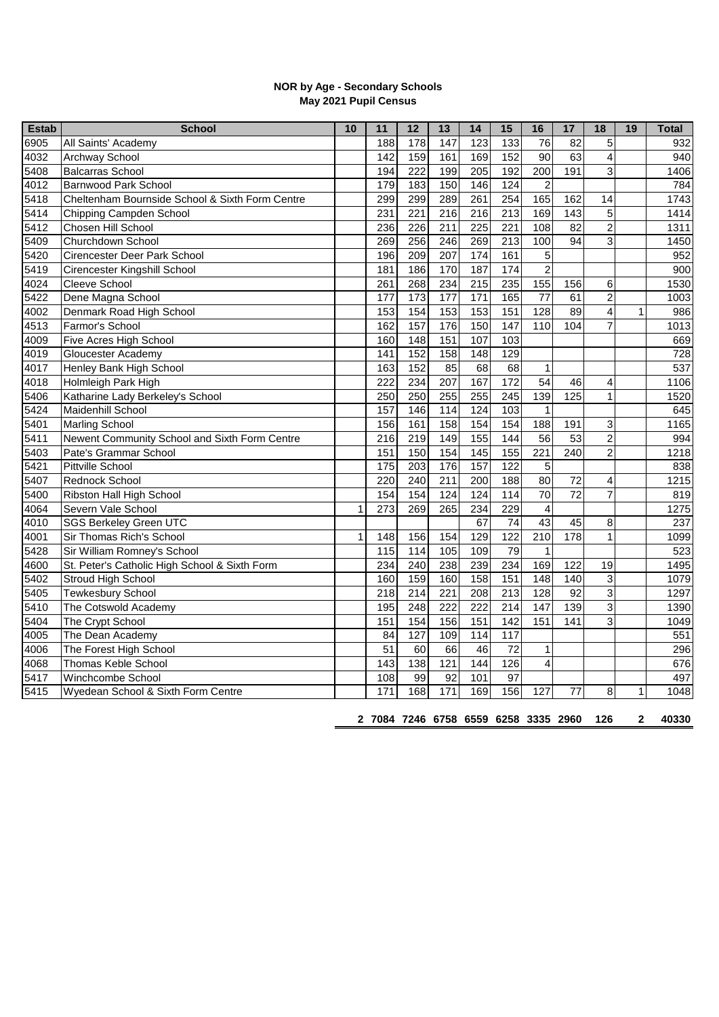## **NOR by Age - Secondary Schools May 2021 Pupil Census**

| <b>Estab</b>     | <b>School</b>                                   | 10           | 11                                   | $\overline{12}$ | 13                | 14  | 15               | 16                       | 17              | 18             | 19           | <b>Total</b> |
|------------------|-------------------------------------------------|--------------|--------------------------------------|-----------------|-------------------|-----|------------------|--------------------------|-----------------|----------------|--------------|--------------|
| 6905             | All Saints' Academy                             |              | 188                                  | 178             | 147               | 123 | 133              | 76                       | 82              | 5              |              | 932          |
| 4032             | Archway School                                  |              | $\overline{142}$                     | 159             | 161               | 169 | 152              | $\overline{90}$          | 63              | 4              |              | 940          |
| 5408             | <b>Balcarras School</b>                         |              | 194                                  | 222             | 199               | 205 | 192              | 200                      | 191             | 3              |              | 1406         |
| 4012             | <b>Barnwood Park School</b>                     |              | 179                                  | 183             | 150               | 146 | 124              | $\overline{c}$           |                 |                |              | 784          |
| 5418             | Cheltenham Bournside School & Sixth Form Centre |              | 299                                  | 299             | 289               | 261 | 254              | 165                      | 162             | 14             |              | 1743         |
| 5414             | Chipping Campden School                         |              | 231                                  | 221             | 216               | 216 | 213              | 169                      | 143             | 5              |              | 1414         |
| 5412             | Chosen Hill School                              |              | 236                                  | 226             | 211               | 225 | 221              | 108                      | 82              | $\overline{2}$ |              | 1311         |
| 5409             | Churchdown School                               |              | 269                                  | 256             | 246               | 269 | 213              | 100                      | $\overline{94}$ | $\overline{3}$ |              | 1450         |
| 5420             | Cirencester Deer Park School                    |              | 196                                  | 209             | 207               | 174 | 161              | 5                        |                 |                |              | 952          |
| $\sqrt{54}19$    | Cirencester Kingshill School                    |              | 181                                  | 186             | 170               | 187 | 174              | $\overline{c}$           |                 |                |              | 900          |
| 4024             | Cleeve School                                   |              | 261                                  | 268             | 234               | 215 | 235              | 155                      | 156             | 6              |              | 1530         |
| 5422             | Dene Magna School                               |              | 177                                  | 173             | 177               | 171 | 165              | 77                       | 61              | $\overline{c}$ |              | 1003         |
| 4002             | Denmark Road High School                        |              | 153                                  | 154             | 153               | 153 | 151              | 128                      | 89              | 4              | $\mathbf{1}$ | 986          |
| 4513             | Farmor's School                                 |              | 162                                  | 157             | 176               | 150 | 147              | 110                      | 104             | 7              |              | 1013         |
| 4009             | Five Acres High School                          |              | 160                                  | 148             | 151               | 107 | 103              |                          |                 |                |              | 669          |
| 4019             | Gloucester Academy                              |              | 141                                  | 152             | 158               | 148 | 129              |                          |                 |                |              | 728          |
| 4017             | Henley Bank High School                         |              | 163                                  | 152             | 85                | 68  | 68               | $\mathbf{1}$             |                 |                |              | 537          |
| 4018             | Holmleigh Park High                             |              | 222                                  | 234             | 207               | 167 | $\overline{172}$ | 54                       | 46              | 4              |              | 1106         |
| 5406             | Katharine Lady Berkeley's School                |              | 250                                  | 250             | 255               | 255 | 245              | 139                      | 125             | $\mathbf{1}$   |              | 1520         |
| 5424             | Maidenhill School                               |              | 157                                  | 146             | $\frac{114}{114}$ | 124 | 103              | $\mathbf{1}$             |                 |                |              | 645          |
| 5401             | <b>Marling School</b>                           |              | 156                                  | 161             | 158               | 154 | 154              | 188                      | 191             | 3              |              | 1165         |
| 5411             | Newent Community School and Sixth Form Centre   |              | 216                                  | 219             | 149               | 155 | 144              | 56                       | 53              | $\overline{c}$ |              | 994          |
| 5403             | Pate's Grammar School                           |              | 151                                  | 150             | 154               | 145 | 155              | 221                      | 240             | $\overline{2}$ |              | 1218         |
| 5421             | Pittville School                                |              | 175                                  | 203             | 176               | 157 | 122              | 5                        |                 |                |              | 838          |
| 5407             | Rednock School                                  |              | 220                                  | 240             | 211               | 200 | 188              | 80                       | 72              | 4              |              | 1215         |
| 5400             | Ribston Hall High School                        |              | 154                                  | 154             | 124               | 124 | 114              | $\overline{70}$          | $\overline{72}$ | $\overline{7}$ |              | 819          |
| 4064             | Severn Vale School                              | $\mathbf{1}$ | 273                                  | 269             | 265               | 234 | 229              | $\overline{\mathcal{L}}$ |                 |                |              | 1275         |
| 4010             | <b>SGS Berkeley Green UTC</b>                   |              |                                      |                 |                   | 67  | $\overline{74}$  | 43                       | 45              | 8              |              | 237          |
| 4001             | Sir Thomas Rich's School                        | 1            | 148                                  | 156             | 154               | 129 | 122              | 210                      | 178             | 1              |              | 1099         |
| 5428             | Sir William Romney's School                     |              | 115                                  | 114             | $\frac{105}{105}$ | 109 | 79               | $\mathbf{1}$             |                 |                |              | 523          |
| 4600             | St. Peter's Catholic High School & Sixth Form   |              | 234                                  | 240             | 238               | 239 | 234              | 169                      | 122             | 19             |              | 1495         |
| 5402             | Stroud High School                              |              | 160                                  | 159             | 160               | 158 | 151              | 148                      | 140             | 3              |              | 1079         |
| 5405             | <b>Tewkesbury School</b>                        |              | 218                                  | 214             | 221               | 208 | 213              | 128                      | 92              | 3              |              | 1297         |
| 5410             | The Cotswold Academy                            |              | 195                                  | 248             | 222               | 222 | $\overline{214}$ | 147                      | 139             | 3              |              | 1390         |
| 5404             | The Crypt School                                |              | 151                                  | 154             | 156               | 151 | 142              | 151                      | 141             | 3              |              | 1049         |
| 4005             | The Dean Academy                                |              | 84                                   | 127             | 109               | 114 | 117              |                          |                 |                |              | 551          |
| 4006             | The Forest High School                          |              | 51                                   | 60              | 66                | 46  | $\overline{72}$  | $\mathbf{1}$             |                 |                |              | 296          |
| 4068             | <b>Thomas Keble School</b>                      |              | 143                                  | 138             | 121               | 144 | 126              | $\overline{4}$           |                 |                |              | 676          |
| $\overline{541}$ | Winchcombe School                               |              | 108                                  | 99              | $\overline{92}$   | 101 | $\overline{97}$  |                          |                 |                |              | 497          |
| 5415             | Wyedean School & Sixth Form Centre              |              | 171                                  | 168             | $\frac{1}{171}$   | 169 | 156              | 127                      | 77              | 8              | 1            | 1048         |
|                  |                                                 |              |                                      |                 |                   |     |                  |                          |                 |                |              |              |
|                  |                                                 |              | 2 7084 7246 6758 6559 6258 3335 2960 |                 |                   |     |                  |                          |                 | 126            | $\mathbf{2}$ | 40330        |